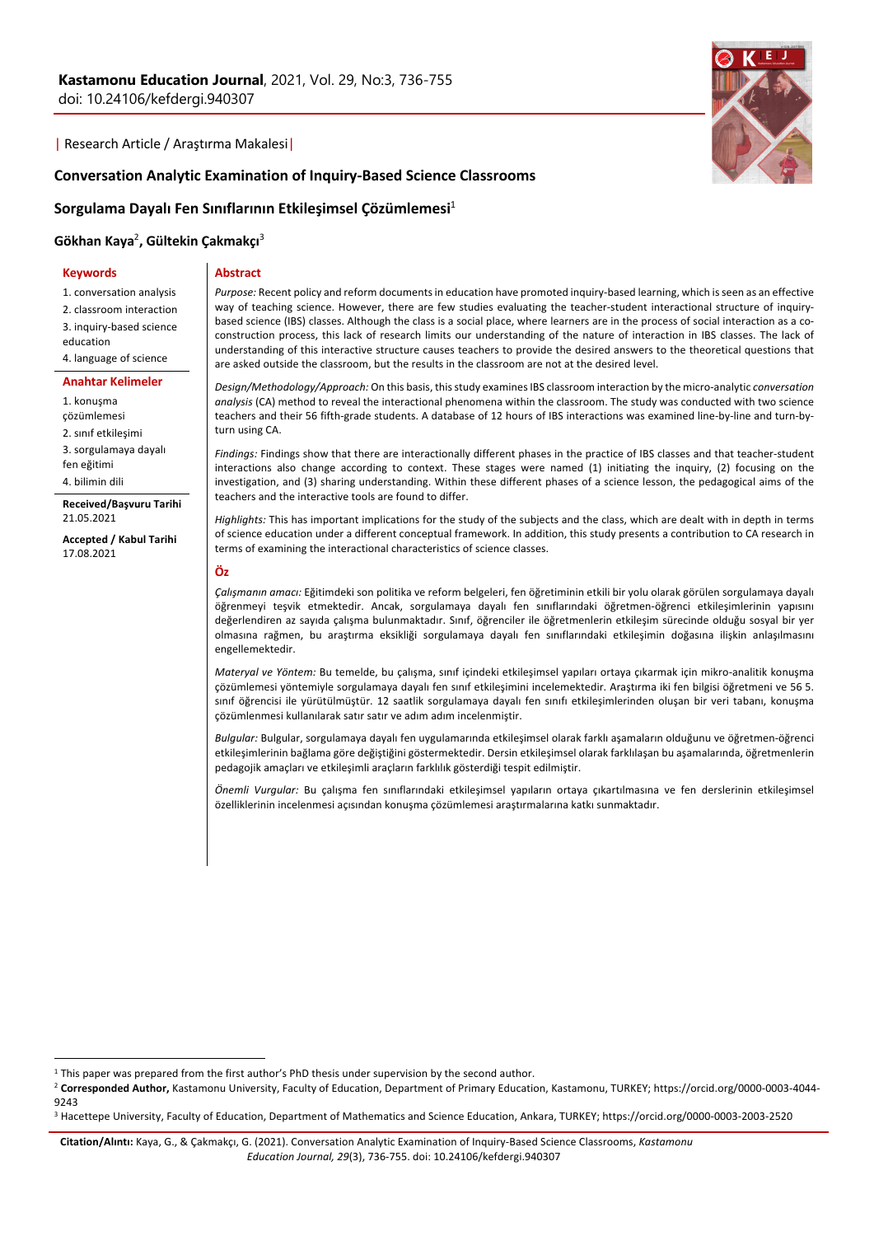| Research Article / Araştırma Makalesi|



## **Conversation Analytic Examination of Inquiry-Based Science Classrooms**

#### **Sorgulama Dayalı Fen Sınıflarının Etkileşimsel Çözümlemesi**<sup>1</sup>

# **Gökhan Kaya**<sup>2</sup> **, Gültekin Çakmakçı**<sup>3</sup>

**Keywords**

# **Abstract**

1. conversation analysis 2. classroom interaction 3. inquiry-based science education 4. language of science

**Anahtar Kelimeler** 1. konuşma çözümlemesi 2. sınıf etkileşimi 3. sorgulamaya dayalı fen eğitimi 4. bilimin dili

**Received/Başvuru Tarihi** 21.05.2021

**Accepted / Kabul Tarihi** 17.08.2021

*Purpose:* Recent policy and reform documents in education have promoted inquiry-based learning, which is seen as an effective way of teaching science. However, there are few studies evaluating the teacher-student interactional structure of inquirybased science (IBS) classes. Although the class is a social place, where learners are in the process of social interaction as a coconstruction process, this lack of research limits our understanding of the nature of interaction in IBS classes. The lack of understanding of this interactive structure causes teachers to provide the desired answers to the theoretical questions that are asked outside the classroom, but the results in the classroom are not at the desired level.

*Design/Methodology/Approach:* On this basis, this study examines IBS classroom interaction by the micro-analytic *conversation analysis* (CA) method to reveal the interactional phenomena within the classroom. The study was conducted with two science teachers and their 56 fifth-grade students. A database of 12 hours of IBS interactions was examined line-by-line and turn-byturn using CA.

*Findings:* Findings show that there are interactionally different phases in the practice of IBS classes and that teacher-student interactions also change according to context. These stages were named (1) initiating the inquiry, (2) focusing on the investigation, and (3) sharing understanding. Within these different phases of a science lesson, the pedagogical aims of the teachers and the interactive tools are found to differ.

*Highlights:* This has important implications for the study of the subjects and the class, which are dealt with in depth in terms of science education under a different conceptual framework. In addition, this study presents a contribution to CA research in terms of examining the interactional characteristics of science classes.

**Öz**

*Çalışmanın amacı:* Eğitimdeki son politika ve reform belgeleri, fen öğretiminin etkili bir yolu olarak görülen sorgulamaya dayalı öğrenmeyi teşvik etmektedir. Ancak, sorgulamaya dayalı fen sınıflarındaki öğretmen-öğrenci etkileşimlerinin yapısını değerlendiren az sayıda çalışma bulunmaktadır. Sınıf, öğrenciler ile öğretmenlerin etkileşim sürecinde olduğu sosyal bir yer olmasına rağmen, bu araştırma eksikliği sorgulamaya dayalı fen sınıflarındaki etkileşimin doğasına ilişkin anlaşılmasını engellemektedir.

*Materyal ve Yöntem:* Bu temelde, bu çalışma, sınıf içindeki etkileşimsel yapıları ortaya çıkarmak için mikro-analitik konuşma çözümlemesi yöntemiyle sorgulamaya dayalı fen sınıf etkileşimini incelemektedir. Araştırma iki fen bilgisi öğretmeni ve 56 5. sınıf öğrencisi ile yürütülmüştür. 12 saatlik sorgulamaya dayalı fen sınıfı etkileşimlerinden oluşan bir veri tabanı, konuşma çözümlenmesi kullanılarak satır satır ve adım adım incelenmiştir.

*Bulgular:* Bulgular, sorgulamaya dayalı fen uygulamarında etkileşimsel olarak farklı aşamaların olduğunu ve öğretmen-öğrenci etkileşimlerinin bağlama göre değiştiğini göstermektedir. Dersin etkileşimsel olarak farklılaşan bu aşamalarında, öğretmenlerin pedagojik amaçları ve etkileşimli araçların farklılık gösterdiği tespit edilmiştir.

*Önemli Vurgular:* Bu çalışma fen sınıflarındaki etkileşimsel yapıların ortaya çıkartılmasına ve fen derslerinin etkileşimsel özelliklerinin incelenmesi açısından konuşma çözümlemesi araştırmalarına katkı sunmaktadır.

<sup>&</sup>lt;sup>1</sup> This paper was prepared from the first author's PhD thesis under supervision by the second author.

<sup>2</sup> **Corresponded Author,** Kastamonu University, Faculty of Education, Department of Primary Education, Kastamonu, TURKEY; https://orcid.org/0000-0003-4044- 9243

<sup>3</sup> Hacettepe University, Faculty of Education, Department of Mathematics and Science Education, Ankara, TURKEY; https://orcid.org/0000-0003-2003-2520

**Citation/Alıntı:** Kaya, G., & Çakmakçı, G. (2021). Conversation Analytic Examination of Inquiry-Based Science Classrooms, *Kastamonu Education Journal, 29*(3), 736-755. doi: 10.24106/kefdergi.940307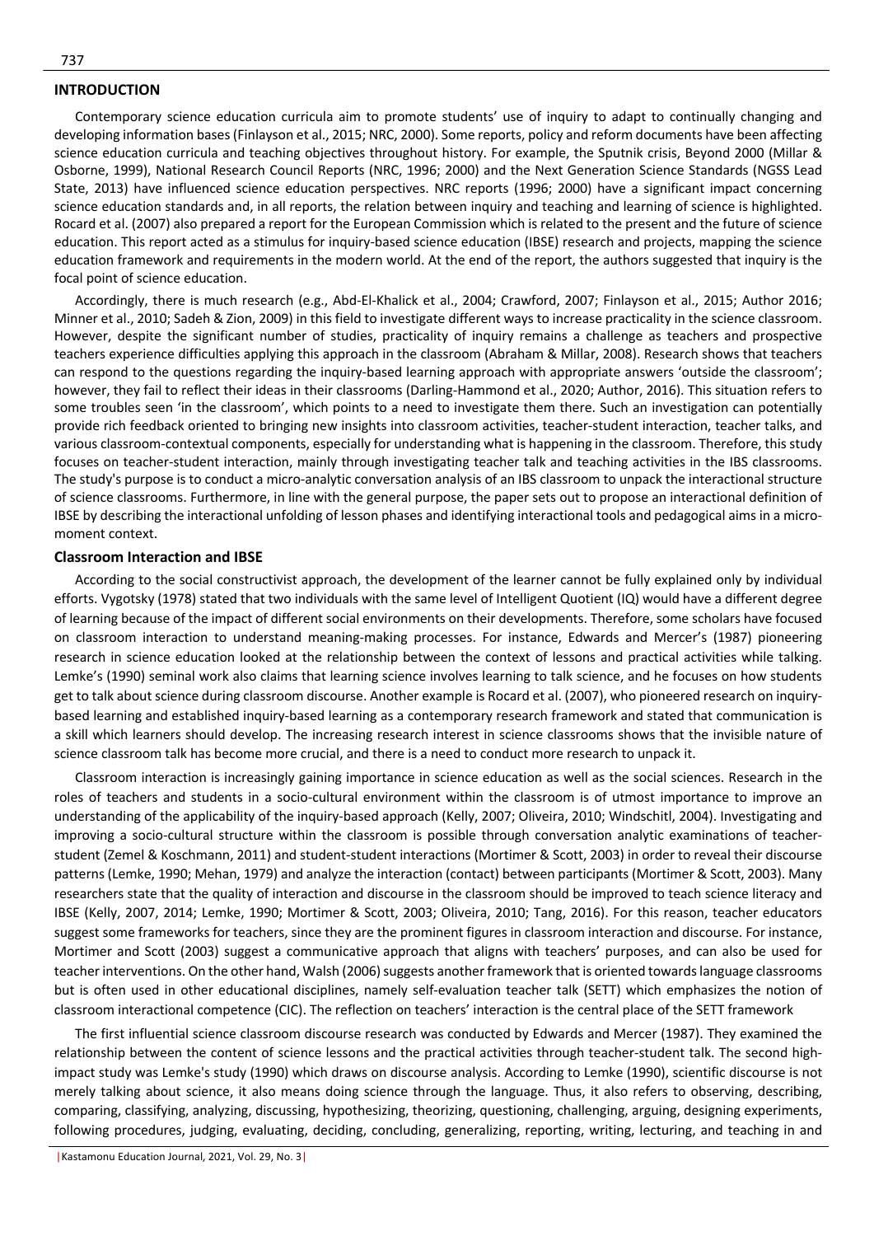# **INTRODUCTION**

Contemporary science education curricula aim to promote students' use of inquiry to adapt to continually changing and developing information bases (Finlayson et al., 2015; NRC, 2000). Some reports, policy and reform documents have been affecting science education curricula and teaching objectives throughout history. For example, the Sputnik crisis, Beyond 2000 (Millar & Osborne, 1999), National Research Council Reports (NRC, 1996; 2000) and the Next Generation Science Standards (NGSS Lead State, 2013) have influenced science education perspectives. NRC reports (1996; 2000) have a significant impact concerning science education standards and, in all reports, the relation between inquiry and teaching and learning of science is highlighted. Rocard et al. (2007) also prepared a report for the European Commission which is related to the present and the future of science education. This report acted as a stimulus for inquiry-based science education (IBSE) research and projects, mapping the science education framework and requirements in the modern world. At the end of the report, the authors suggested that inquiry is the focal point of science education.

Accordingly, there is much research (e.g., Abd-El-Khalick et al., 2004; Crawford, 2007; Finlayson et al., 2015; Author 2016; Minner et al., 2010; Sadeh & Zion, 2009) in this field to investigate different ways to increase practicality in the science classroom. However, despite the significant number of studies, practicality of inquiry remains a challenge as teachers and prospective teachers experience difficulties applying this approach in the classroom (Abraham & Millar, 2008). Research shows that teachers can respond to the questions regarding the inquiry-based learning approach with appropriate answers 'outside the classroom'; however, they fail to reflect their ideas in their classrooms (Darling-Hammond et al., 2020; Author, 2016). This situation refers to some troubles seen 'in the classroom', which points to a need to investigate them there. Such an investigation can potentially provide rich feedback oriented to bringing new insights into classroom activities, teacher-student interaction, teacher talks, and various classroom-contextual components, especially for understanding what is happening in the classroom. Therefore, this study focuses on teacher-student interaction, mainly through investigating teacher talk and teaching activities in the IBS classrooms. The study's purpose is to conduct a micro-analytic conversation analysis of an IBS classroom to unpack the interactional structure of science classrooms. Furthermore, in line with the general purpose, the paper sets out to propose an interactional definition of IBSE by describing the interactional unfolding of lesson phases and identifying interactional tools and pedagogical aims in a micromoment context.

#### **Classroom Interaction and IBSE**

According to the social constructivist approach, the development of the learner cannot be fully explained only by individual efforts. Vygotsky (1978) stated that two individuals with the same level of Intelligent Quotient (IQ) would have a different degree of learning because of the impact of different social environments on their developments. Therefore, some scholars have focused on classroom interaction to understand meaning-making processes. For instance, Edwards and Mercer's (1987) pioneering research in science education looked at the relationship between the context of lessons and practical activities while talking. Lemke's (1990) seminal work also claims that learning science involves learning to talk science, and he focuses on how students get to talk about science during classroom discourse. Another example is Rocard et al. (2007), who pioneered research on inquirybased learning and established inquiry-based learning as a contemporary research framework and stated that communication is a skill which learners should develop. The increasing research interest in science classrooms shows that the invisible nature of science classroom talk has become more crucial, and there is a need to conduct more research to unpack it.

Classroom interaction is increasingly gaining importance in science education as well as the social sciences. Research in the roles of teachers and students in a socio-cultural environment within the classroom is of utmost importance to improve an understanding of the applicability of the inquiry-based approach (Kelly, 2007; Oliveira, 2010; Windschitl, 2004). Investigating and improving a socio-cultural structure within the classroom is possible through conversation analytic examinations of teacherstudent (Zemel & Koschmann, 2011) and student-student interactions (Mortimer & Scott, 2003) in order to reveal their discourse patterns (Lemke, 1990; Mehan, 1979) and analyze the interaction (contact) between participants (Mortimer & Scott, 2003). Many researchers state that the quality of interaction and discourse in the classroom should be improved to teach science literacy and IBSE (Kelly, 2007, 2014; Lemke, 1990; Mortimer & Scott, 2003; Oliveira, 2010; Tang, 2016). For this reason, teacher educators suggest some frameworks for teachers, since they are the prominent figures in classroom interaction and discourse. For instance, Mortimer and Scott (2003) suggest a communicative approach that aligns with teachers' purposes, and can also be used for teacher interventions. On the other hand, Walsh (2006) suggests another framework that is oriented towards language classrooms but is often used in other educational disciplines, namely self-evaluation teacher talk (SETT) which emphasizes the notion of classroom interactional competence (CIC). The reflection on teachers' interaction is the central place of the SETT framework

The first influential science classroom discourse research was conducted by Edwards and Mercer (1987). They examined the relationship between the content of science lessons and the practical activities through teacher-student talk. The second highimpact study was Lemke's study (1990) which draws on discourse analysis. According to Lemke (1990), scientific discourse is not merely talking about science, it also means doing science through the language. Thus, it also refers to observing, describing, comparing, classifying, analyzing, discussing, hypothesizing, theorizing, questioning, challenging, arguing, designing experiments, following procedures, judging, evaluating, deciding, concluding, generalizing, reporting, writing, lecturing, and teaching in and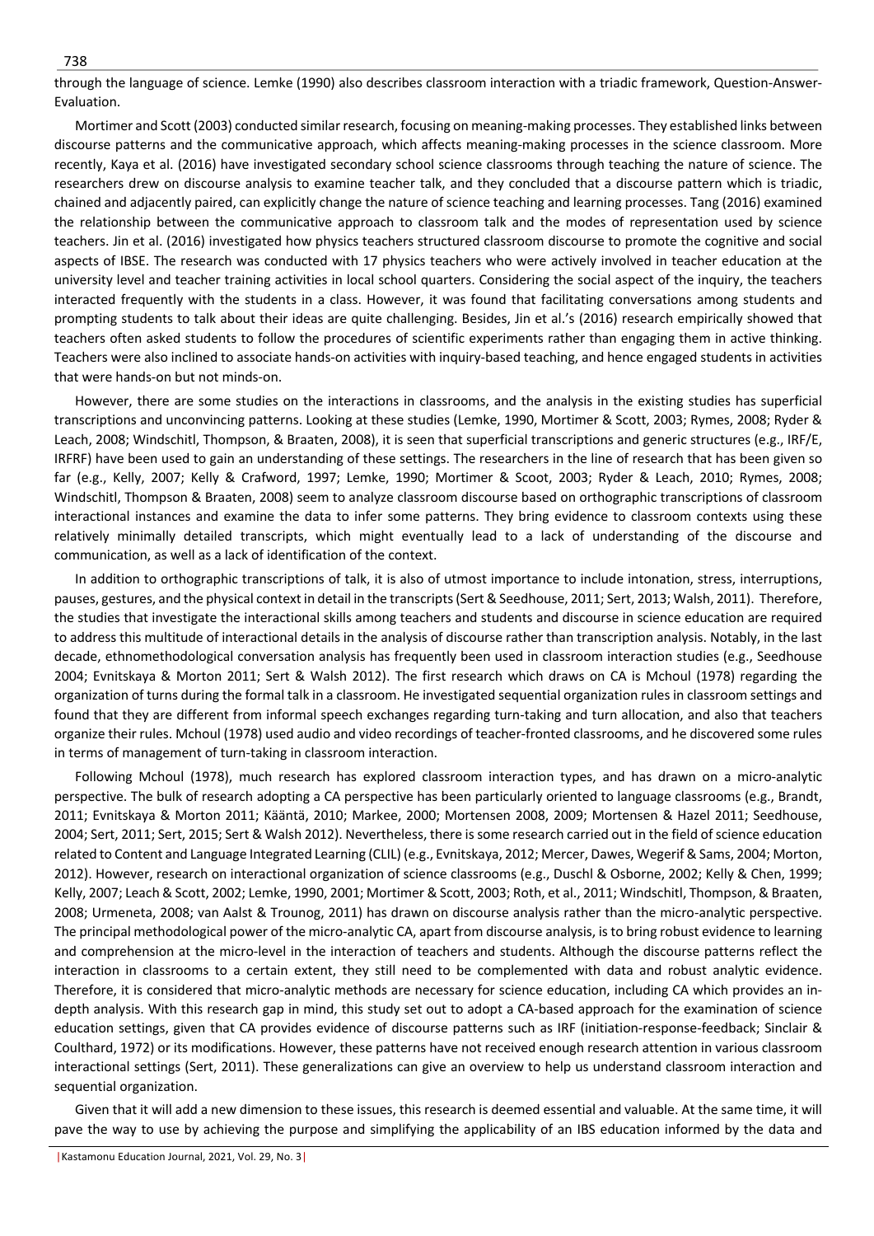through the language of science. Lemke (1990) also describes classroom interaction with a triadic framework, Question-Answer-Evaluation.

Mortimer and Scott (2003) conducted similar research, focusing on meaning-making processes. They established links between discourse patterns and the communicative approach, which affects meaning-making processes in the science classroom. More recently, Kaya et al. (2016) have investigated secondary school science classrooms through teaching the nature of science. The researchers drew on discourse analysis to examine teacher talk, and they concluded that a discourse pattern which is triadic, chained and adjacently paired, can explicitly change the nature of science teaching and learning processes. Tang (2016) examined the relationship between the communicative approach to classroom talk and the modes of representation used by science teachers. Jin et al. (2016) investigated how physics teachers structured classroom discourse to promote the cognitive and social aspects of IBSE. The research was conducted with 17 physics teachers who were actively involved in teacher education at the university level and teacher training activities in local school quarters. Considering the social aspect of the inquiry, the teachers interacted frequently with the students in a class. However, it was found that facilitating conversations among students and prompting students to talk about their ideas are quite challenging. Besides, Jin et al.'s (2016) research empirically showed that teachers often asked students to follow the procedures of scientific experiments rather than engaging them in active thinking. Teachers were also inclined to associate hands-on activities with inquiry-based teaching, and hence engaged students in activities that were hands-on but not minds-on.

However, there are some studies on the interactions in classrooms, and the analysis in the existing studies has superficial transcriptions and unconvincing patterns. Looking at these studies (Lemke, 1990, Mortimer & Scott, 2003; Rymes, 2008; Ryder & Leach, 2008; Windschitl, Thompson, & Braaten, 2008), it is seen that superficial transcriptions and generic structures (e.g., IRF/E, IRFRF) have been used to gain an understanding of these settings. The researchers in the line of research that has been given so far (e.g., Kelly, 2007; Kelly & Crafword, 1997; Lemke, 1990; Mortimer & Scoot, 2003; Ryder & Leach, 2010; Rymes, 2008; Windschitl, Thompson & Braaten, 2008) seem to analyze classroom discourse based on orthographic transcriptions of classroom interactional instances and examine the data to infer some patterns. They bring evidence to classroom contexts using these relatively minimally detailed transcripts, which might eventually lead to a lack of understanding of the discourse and communication, as well as a lack of identification of the context.

In addition to orthographic transcriptions of talk, it is also of utmost importance to include intonation, stress, interruptions, pauses, gestures, and the physical context in detail in the transcripts (Sert & Seedhouse, 2011; Sert, 2013; Walsh, 2011). Therefore, the studies that investigate the interactional skills among teachers and students and discourse in science education are required to address this multitude of interactional details in the analysis of discourse rather than transcription analysis. Notably, in the last decade, ethnomethodological conversation analysis has frequently been used in classroom interaction studies (e.g., Seedhouse 2004; Evnitskaya & Morton 2011; Sert & Walsh 2012). The first research which draws on CA is Mchoul (1978) regarding the organization of turns during the formal talk in a classroom. He investigated sequential organization rules in classroom settings and found that they are different from informal speech exchanges regarding turn-taking and turn allocation, and also that teachers organize their rules. Mchoul (1978) used audio and video recordings of teacher-fronted classrooms, and he discovered some rules in terms of management of turn-taking in classroom interaction.

Following Mchoul (1978), much research has explored classroom interaction types, and has drawn on a micro-analytic perspective. The bulk of research adopting a CA perspective has been particularly oriented to language classrooms (e.g., Brandt, 2011; Evnitskaya & Morton 2011; Kääntä, 2010; Markee, 2000; Mortensen 2008, 2009; Mortensen & Hazel 2011; Seedhouse, 2004; Sert, 2011; Sert, 2015; Sert & Walsh 2012). Nevertheless, there is some research carried out in the field of science education related to Content and Language Integrated Learning (CLIL) (e.g., Evnitskaya, 2012; Mercer, Dawes, Wegerif & Sams, 2004; Morton, 2012). However, research on interactional organization of science classrooms (e.g., Duschl & Osborne, 2002; Kelly & Chen, 1999; Kelly, 2007; Leach & Scott, 2002; Lemke, 1990, 2001; Mortimer & Scott, 2003; Roth, et al., 2011; Windschitl, Thompson, & Braaten, 2008; Urmeneta, 2008; van Aalst & Trounog, 2011) has drawn on discourse analysis rather than the micro-analytic perspective. The principal methodological power of the micro-analytic CA, apart from discourse analysis, is to bring robust evidence to learning and comprehension at the micro-level in the interaction of teachers and students. Although the discourse patterns reflect the interaction in classrooms to a certain extent, they still need to be complemented with data and robust analytic evidence. Therefore, it is considered that micro-analytic methods are necessary for science education, including CA which provides an indepth analysis. With this research gap in mind, this study set out to adopt a CA-based approach for the examination of science education settings, given that CA provides evidence of discourse patterns such as IRF (initiation-response-feedback; Sinclair & Coulthard, 1972) or its modifications. However, these patterns have not received enough research attention in various classroom interactional settings (Sert, 2011). These generalizations can give an overview to help us understand classroom interaction and sequential organization.

Given that it will add a new dimension to these issues, this research is deemed essential and valuable. At the same time, it will pave the way to use by achieving the purpose and simplifying the applicability of an IBS education informed by the data and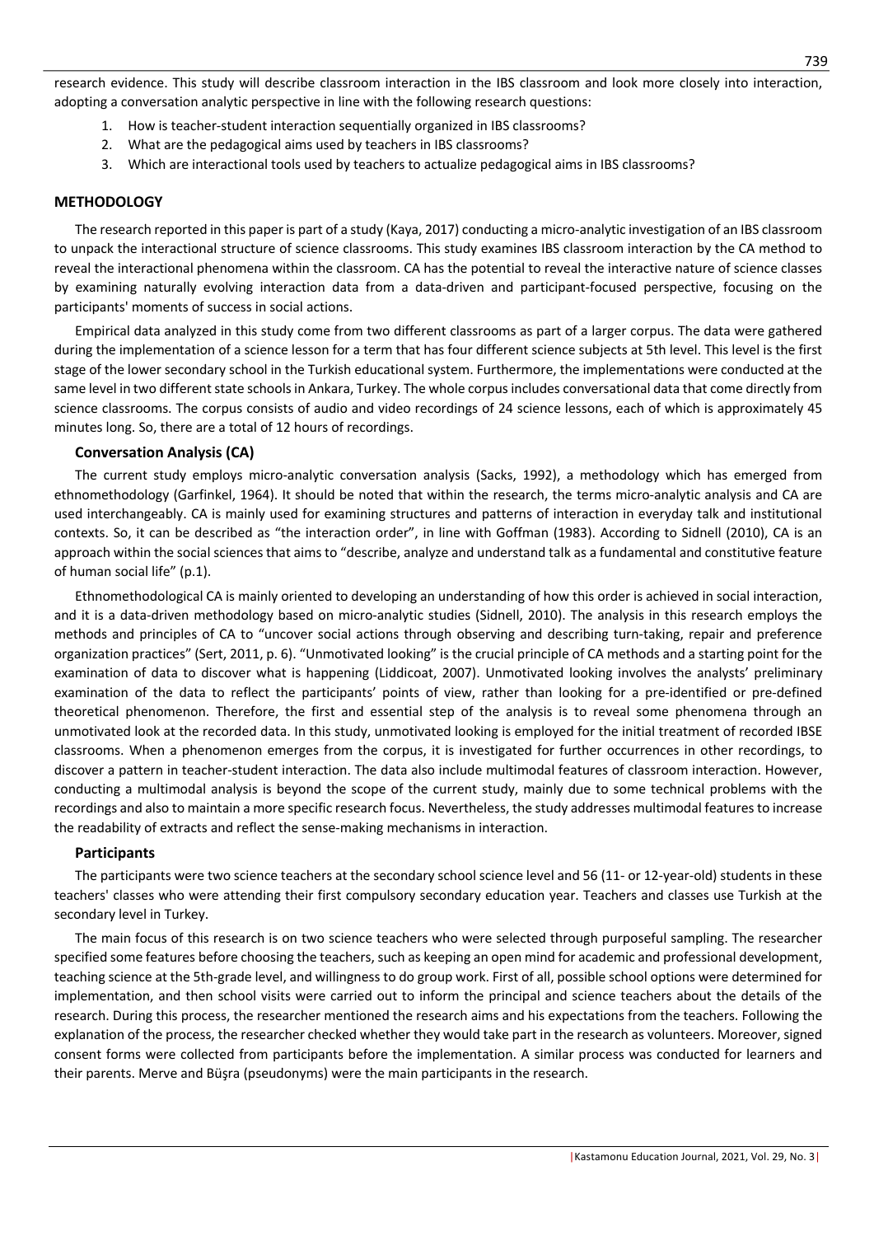research evidence. This study will describe classroom interaction in the IBS classroom and look more closely into interaction, adopting a conversation analytic perspective in line with the following research questions:

- 1. How is teacher-student interaction sequentially organized in IBS classrooms?
- 2. What are the pedagogical aims used by teachers in IBS classrooms?
- 3. Which are interactional tools used by teachers to actualize pedagogical aims in IBS classrooms?

# **METHODOLOGY**

The research reported in this paper is part of a study (Kaya, 2017) conducting a micro-analytic investigation of an IBS classroom to unpack the interactional structure of science classrooms. This study examines IBS classroom interaction by the CA method to reveal the interactional phenomena within the classroom. CA has the potential to reveal the interactive nature of science classes by examining naturally evolving interaction data from a data-driven and participant-focused perspective, focusing on the participants' moments of success in social actions.

Empirical data analyzed in this study come from two different classrooms as part of a larger corpus. The data were gathered during the implementation of a science lesson for a term that has four different science subjects at 5th level. This level is the first stage of the lower secondary school in the Turkish educational system. Furthermore, the implementations were conducted at the same level in two different state schools in Ankara, Turkey. The whole corpus includes conversational data that come directly from science classrooms. The corpus consists of audio and video recordings of 24 science lessons, each of which is approximately 45 minutes long. So, there are a total of 12 hours of recordings.

#### **Conversation Analysis (CA)**

The current study employs micro-analytic conversation analysis (Sacks, 1992), a methodology which has emerged from ethnomethodology (Garfinkel, 1964). It should be noted that within the research, the terms micro-analytic analysis and CA are used interchangeably. CA is mainly used for examining structures and patterns of interaction in everyday talk and institutional contexts. So, it can be described as "the interaction order", in line with Goffman (1983). According to Sidnell (2010), CA is an approach within the social sciences that aims to "describe, analyze and understand talk as a fundamental and constitutive feature of human social life" (p.1).

Ethnomethodological CA is mainly oriented to developing an understanding of how this order is achieved in social interaction, and it is a data-driven methodology based on micro-analytic studies (Sidnell, 2010). The analysis in this research employs the methods and principles of CA to "uncover social actions through observing and describing turn-taking, repair and preference organization practices" (Sert, 2011, p. 6). "Unmotivated looking" is the crucial principle of CA methods and a starting point for the examination of data to discover what is happening (Liddicoat, 2007). Unmotivated looking involves the analysts' preliminary examination of the data to reflect the participants' points of view, rather than looking for a pre-identified or pre-defined theoretical phenomenon. Therefore, the first and essential step of the analysis is to reveal some phenomena through an unmotivated look at the recorded data. In this study, unmotivated looking is employed for the initial treatment of recorded IBSE classrooms. When a phenomenon emerges from the corpus, it is investigated for further occurrences in other recordings, to discover a pattern in teacher-student interaction. The data also include multimodal features of classroom interaction. However, conducting a multimodal analysis is beyond the scope of the current study, mainly due to some technical problems with the recordings and also to maintain a more specific research focus. Nevertheless, the study addresses multimodal features to increase the readability of extracts and reflect the sense-making mechanisms in interaction.

#### **Participants**

The participants were two science teachers at the secondary school science level and 56 (11- or 12-year-old) students in these teachers' classes who were attending their first compulsory secondary education year. Teachers and classes use Turkish at the secondary level in Turkey.

The main focus of this research is on two science teachers who were selected through purposeful sampling. The researcher specified some features before choosing the teachers, such as keeping an open mind for academic and professional development, teaching science at the 5th-grade level, and willingness to do group work. First of all, possible school options were determined for implementation, and then school visits were carried out to inform the principal and science teachers about the details of the research. During this process, the researcher mentioned the research aims and his expectations from the teachers. Following the explanation of the process, the researcher checked whether they would take part in the research as volunteers. Moreover, signed consent forms were collected from participants before the implementation. A similar process was conducted for learners and their parents. Merve and Büşra (pseudonyms) were the main participants in the research.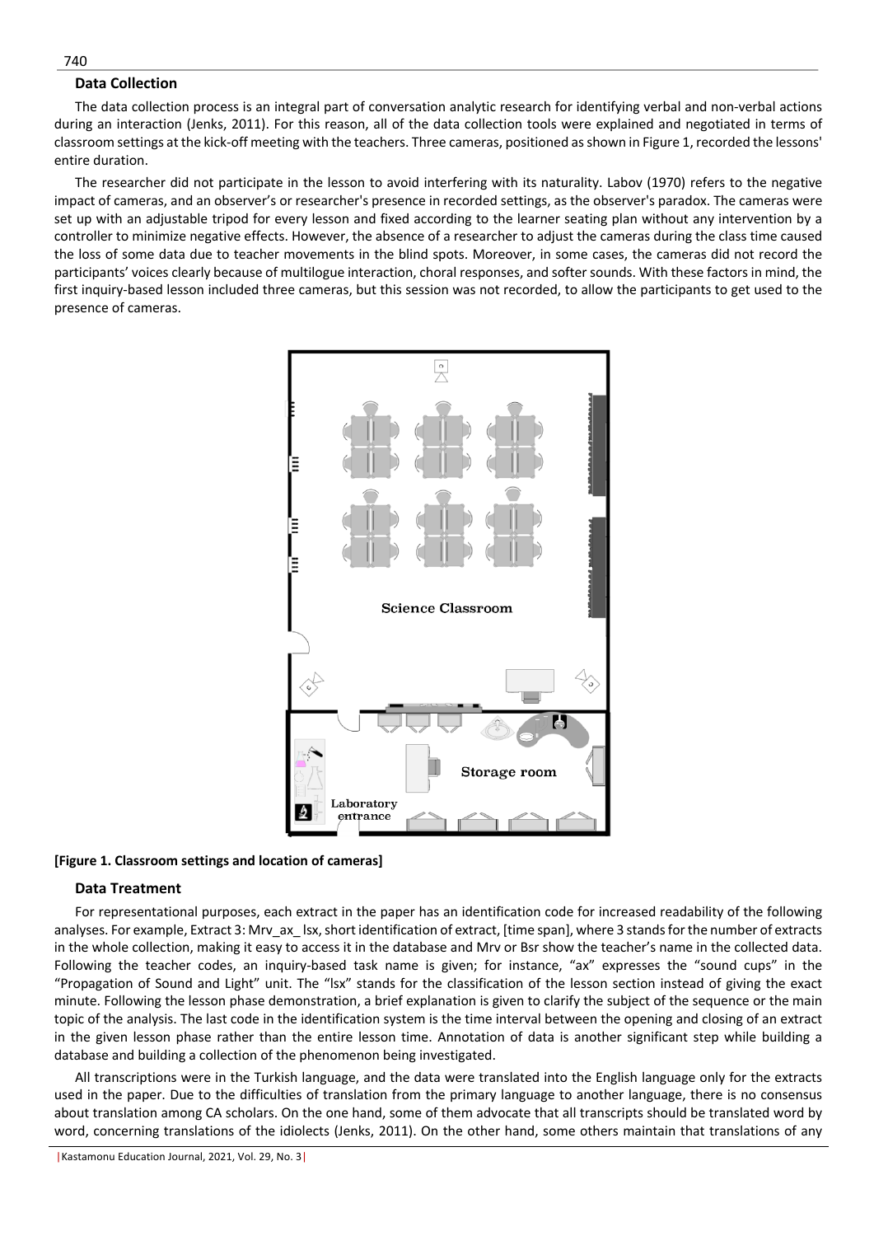# **Data Collection**

The data collection process is an integral part of conversation analytic research for identifying verbal and non-verbal actions during an interaction (Jenks, 2011). For this reason, all of the data collection tools were explained and negotiated in terms of classroom settings at the kick-off meeting with the teachers. Three cameras, positioned as shown in Figure 1, recorded the lessons' entire duration.

The researcher did not participate in the lesson to avoid interfering with its naturality. Labov (1970) refers to the negative impact of cameras, and an observer's or researcher's presence in recorded settings, as the observer's paradox. The cameras were set up with an adjustable tripod for every lesson and fixed according to the learner seating plan without any intervention by a controller to minimize negative effects. However, the absence of a researcher to adjust the cameras during the class time caused the loss of some data due to teacher movements in the blind spots. Moreover, in some cases, the cameras did not record the participants' voices clearly because of multilogue interaction, choral responses, and softer sounds. With these factors in mind, the first inquiry-based lesson included three cameras, but this session was not recorded, to allow the participants to get used to the presence of cameras.



**[Figure 1. Classroom settings and location of cameras]**

#### **Data Treatment**

For representational purposes, each extract in the paper has an identification code for increased readability of the following analyses. For example, Extract 3: Mrv\_ax\_ lsx, short identification of extract, [time span], where 3 stands for the number of extracts in the whole collection, making it easy to access it in the database and Mrv or Bsr show the teacher's name in the collected data. Following the teacher codes, an inquiry-based task name is given; for instance, "ax" expresses the "sound cups" in the "Propagation of Sound and Light" unit. The "lsx" stands for the classification of the lesson section instead of giving the exact minute. Following the lesson phase demonstration, a brief explanation is given to clarify the subject of the sequence or the main topic of the analysis. The last code in the identification system is the time interval between the opening and closing of an extract in the given lesson phase rather than the entire lesson time. Annotation of data is another significant step while building a database and building a collection of the phenomenon being investigated.

All transcriptions were in the Turkish language, and the data were translated into the English language only for the extracts used in the paper. Due to the difficulties of translation from the primary language to another language, there is no consensus about translation among CA scholars. On the one hand, some of them advocate that all transcripts should be translated word by word, concerning translations of the idiolects (Jenks, 2011). On the other hand, some others maintain that translations of any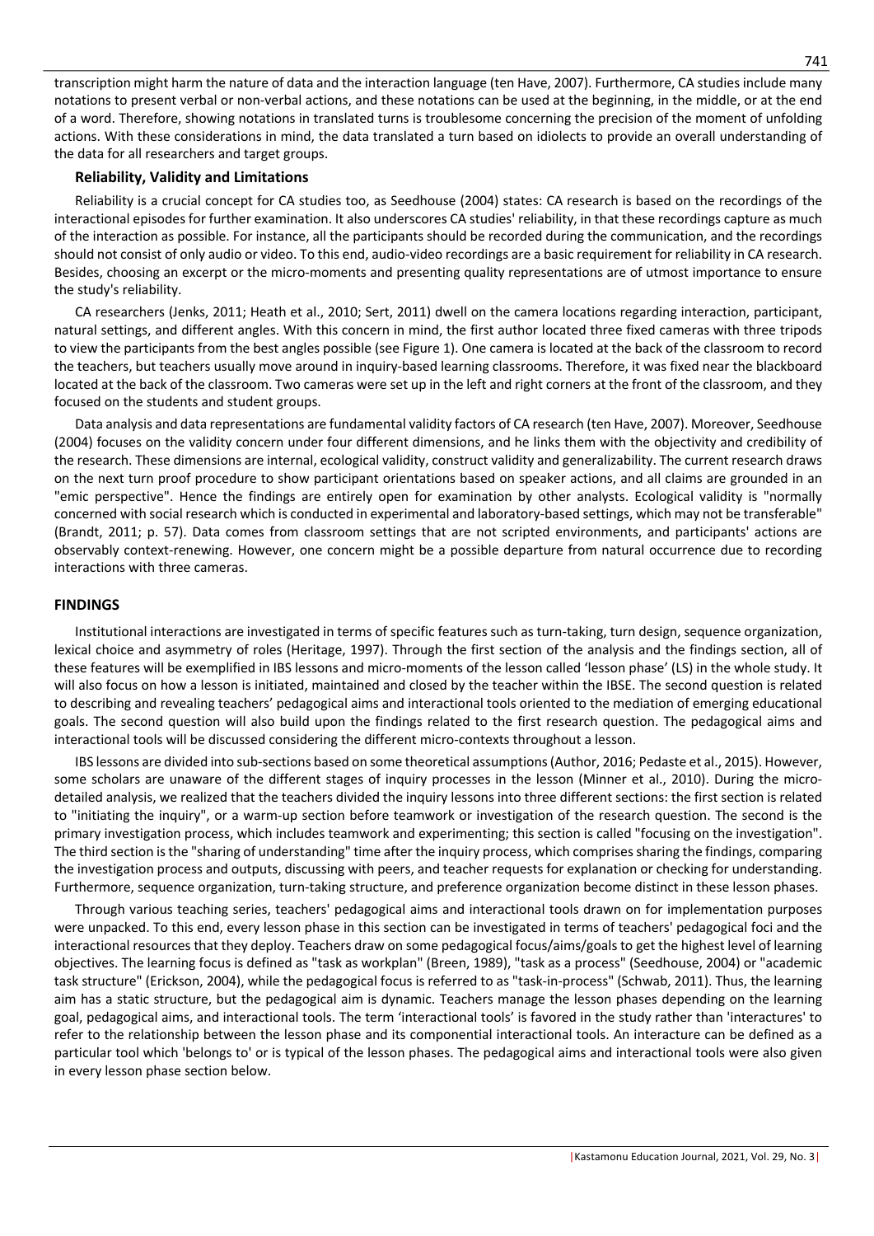transcription might harm the nature of data and the interaction language (ten Have, 2007). Furthermore, CA studies include many notations to present verbal or non-verbal actions, and these notations can be used at the beginning, in the middle, or at the end of a word. Therefore, showing notations in translated turns is troublesome concerning the precision of the moment of unfolding actions. With these considerations in mind, the data translated a turn based on idiolects to provide an overall understanding of the data for all researchers and target groups.

# **Reliability, Validity and Limitations**

Reliability is a crucial concept for CA studies too, as Seedhouse (2004) states: CA research is based on the recordings of the interactional episodes for further examination. It also underscores CA studies' reliability, in that these recordings capture as much of the interaction as possible. For instance, all the participants should be recorded during the communication, and the recordings should not consist of only audio or video. To this end, audio-video recordings are a basic requirement for reliability in CA research. Besides, choosing an excerpt or the micro-moments and presenting quality representations are of utmost importance to ensure the study's reliability.

CA researchers (Jenks, 2011; Heath et al., 2010; Sert, 2011) dwell on the camera locations regarding interaction, participant, natural settings, and different angles. With this concern in mind, the first author located three fixed cameras with three tripods to view the participants from the best angles possible (see Figure 1). One camera is located at the back of the classroom to record the teachers, but teachers usually move around in inquiry-based learning classrooms. Therefore, it was fixed near the blackboard located at the back of the classroom. Two cameras were set up in the left and right corners at the front of the classroom, and they focused on the students and student groups.

Data analysis and data representations are fundamental validity factors of CA research (ten Have, 2007). Moreover, Seedhouse (2004) focuses on the validity concern under four different dimensions, and he links them with the objectivity and credibility of the research. These dimensions are internal, ecological validity, construct validity and generalizability. The current research draws on the next turn proof procedure to show participant orientations based on speaker actions, and all claims are grounded in an "emic perspective". Hence the findings are entirely open for examination by other analysts. Ecological validity is "normally concerned with social research which is conducted in experimental and laboratory-based settings, which may not be transferable" (Brandt, 2011; p. 57). Data comes from classroom settings that are not scripted environments, and participants' actions are observably context-renewing. However, one concern might be a possible departure from natural occurrence due to recording interactions with three cameras.

# **FINDINGS**

Institutional interactions are investigated in terms of specific features such as turn-taking, turn design, sequence organization, lexical choice and asymmetry of roles (Heritage, 1997). Through the first section of the analysis and the findings section, all of these features will be exemplified in IBS lessons and micro-moments of the lesson called 'lesson phase' (LS) in the whole study. It will also focus on how a lesson is initiated, maintained and closed by the teacher within the IBSE. The second question is related to describing and revealing teachers' pedagogical aims and interactional tools oriented to the mediation of emerging educational goals. The second question will also build upon the findings related to the first research question. The pedagogical aims and interactional tools will be discussed considering the different micro-contexts throughout a lesson.

IBS lessons are divided into sub-sections based on some theoretical assumptions (Author, 2016; Pedaste et al., 2015). However, some scholars are unaware of the different stages of inquiry processes in the lesson (Minner et al., 2010). During the microdetailed analysis, we realized that the teachers divided the inquiry lessons into three different sections: the first section is related to "initiating the inquiry", or a warm-up section before teamwork or investigation of the research question. The second is the primary investigation process, which includes teamwork and experimenting; this section is called "focusing on the investigation". The third section is the "sharing of understanding" time after the inquiry process, which comprises sharing the findings, comparing the investigation process and outputs, discussing with peers, and teacher requests for explanation or checking for understanding. Furthermore, sequence organization, turn-taking structure, and preference organization become distinct in these lesson phases.

Through various teaching series, teachers' pedagogical aims and interactional tools drawn on for implementation purposes were unpacked. To this end, every lesson phase in this section can be investigated in terms of teachers' pedagogical foci and the interactional resources that they deploy. Teachers draw on some pedagogical focus/aims/goals to get the highest level of learning objectives. The learning focus is defined as "task as workplan" (Breen, 1989), "task as a process" (Seedhouse, 2004) or "academic task structure" (Erickson, 2004), while the pedagogical focus is referred to as "task-in-process" (Schwab, 2011). Thus, the learning aim has a static structure, but the pedagogical aim is dynamic. Teachers manage the lesson phases depending on the learning goal, pedagogical aims, and interactional tools. The term 'interactional tools' is favored in the study rather than 'interactures' to refer to the relationship between the lesson phase and its componential interactional tools. An interacture can be defined as a particular tool which 'belongs to' or is typical of the lesson phases. The pedagogical aims and interactional tools were also given in every lesson phase section below.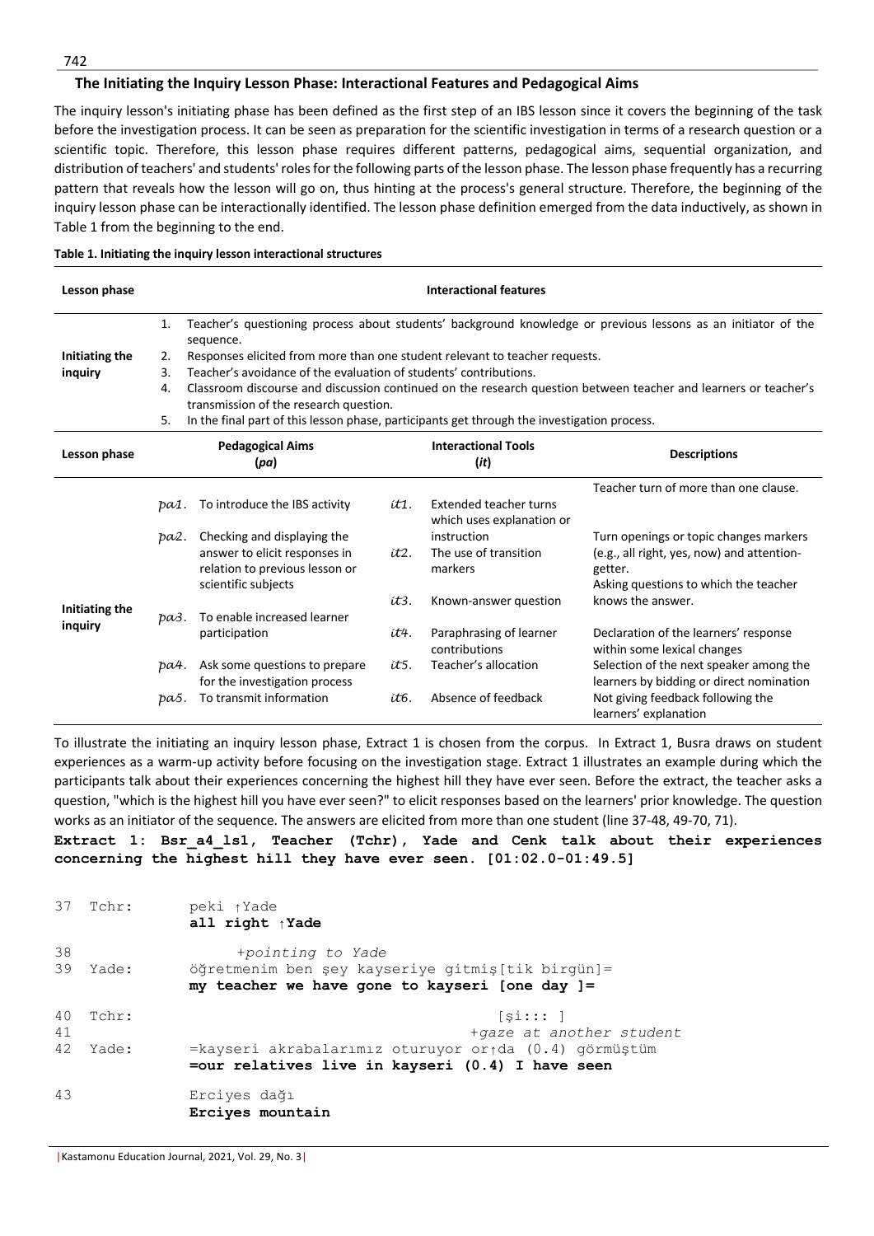## **The Initiating the Inquiry Lesson Phase: Interactional Features and Pedagogical Aims**

The inquiry lesson's initiating phase has been defined as the first step of an IBS lesson since it covers the beginning of the task before the investigation process. It can be seen as preparation for the scientific investigation in terms of a research question or a scientific topic. Therefore, this lesson phase requires different patterns, pedagogical aims, sequential organization, and distribution of teachers' and students' roles for the following parts of the lesson phase. The lesson phase frequently has a recurring pattern that reveals how the lesson will go on, thus hinting at the process's general structure. Therefore, the beginning of the inquiry lesson phase can be interactionally identified. The lesson phase definition emerged from the data inductively, as shown in Table 1 from the beginning to the end.

| Lesson phase   |                                 | <b>Interactional features</b>                                                                                              |      |                                                     |                                                                                                                 |  |  |
|----------------|---------------------------------|----------------------------------------------------------------------------------------------------------------------------|------|-----------------------------------------------------|-----------------------------------------------------------------------------------------------------------------|--|--|
|                | 1.                              | Teacher's questioning process about students' background knowledge or previous lessons as an initiator of the<br>sequence. |      |                                                     |                                                                                                                 |  |  |
| Initiating the | 2.                              | Responses elicited from more than one student relevant to teacher requests.                                                |      |                                                     |                                                                                                                 |  |  |
| inquiry        | 3.                              | Teacher's avoidance of the evaluation of students' contributions.                                                          |      |                                                     |                                                                                                                 |  |  |
|                | 4.                              | transmission of the research question.                                                                                     |      |                                                     | Classroom discourse and discussion continued on the research question between teacher and learners or teacher's |  |  |
|                | 5.                              | In the final part of this lesson phase, participants get through the investigation process.                                |      |                                                     |                                                                                                                 |  |  |
| Lesson phase   | <b>Pedagogical Aims</b><br>(pa) |                                                                                                                            |      | <b>Interactional Tools</b><br>(it)                  | <b>Descriptions</b>                                                                                             |  |  |
|                |                                 |                                                                                                                            |      |                                                     | Teacher turn of more than one clause.                                                                           |  |  |
|                | pa1.                            | To introduce the IBS activity                                                                                              | ít1. | Extended teacher turns<br>which uses explanation or |                                                                                                                 |  |  |
|                | pa2.                            | Checking and displaying the                                                                                                |      | instruction                                         | Turn openings or topic changes markers                                                                          |  |  |
|                |                                 | answer to elicit responses in                                                                                              | it2. | The use of transition                               | (e.g., all right, yes, now) and attention-                                                                      |  |  |
|                |                                 | relation to previous lesson or                                                                                             |      | markers                                             | getter.                                                                                                         |  |  |
|                |                                 | scientific subjects                                                                                                        |      |                                                     | Asking questions to which the teacher                                                                           |  |  |
| Initiating the |                                 |                                                                                                                            | it3. | Known-answer question                               | knows the answer.                                                                                               |  |  |
| inquiry        | pa3.                            | To enable increased learner                                                                                                |      |                                                     |                                                                                                                 |  |  |
|                |                                 | participation                                                                                                              | ít4. | Paraphrasing of learner<br>contributions            | Declaration of the learners' response<br>within some lexical changes                                            |  |  |
|                | ba4.                            | Ask some questions to prepare<br>for the investigation process                                                             | ít5. | Teacher's allocation                                | Selection of the next speaker among the<br>learners by bidding or direct nomination                             |  |  |
|                | pa5.                            | To transmit information                                                                                                    | ít6. | Absence of feedback                                 | Not giving feedback following the<br>learners' explanation                                                      |  |  |

#### **Table 1. Initiating the inquiry lesson interactional structures**

To illustrate the initiating an inquiry lesson phase, Extract 1 is chosen from the corpus. In Extract 1, Busra draws on student experiences as a warm-up activity before focusing on the investigation stage. Extract 1 illustrates an example during which the participants talk about their experiences concerning the highest hill they have ever seen. Before the extract, the teacher asks a question, "which is the highest hill you have ever seen?" to elicit responses based on the learners' prior knowledge. The question works as an initiator of the sequence. The answers are elicited from more than one student (line 37-48, 49-70, 71).

**Extract 1: Bsr\_a4\_ls1, Teacher (Tchr), Yade and Cenk talk about their experiences concerning the highest hill they have ever seen. [01:02.0-01:49.5]**

|          | 37 Tchr: | peki 1Yade<br>all right $\uparrow$ Yade                                                                                 |
|----------|----------|-------------------------------------------------------------------------------------------------------------------------|
| 38<br>39 | Yade:    | +pointing to Yade<br>öğretmenim ben şey kayseriye gitmiş[tik birgün]=<br>my teacher we have gone to kayseri [one day ]= |
| 40<br>41 | Tchr:    | [si:::1]<br>+gaze at another student                                                                                    |
| 42       | Yade:    | =kayseri akrabalarımız oturuyor orida (0.4) görmüştüm<br>=our relatives live in kayseri (0.4) I have seen               |
| 43       |          | Erciyes dağı<br>Erciyes mountain                                                                                        |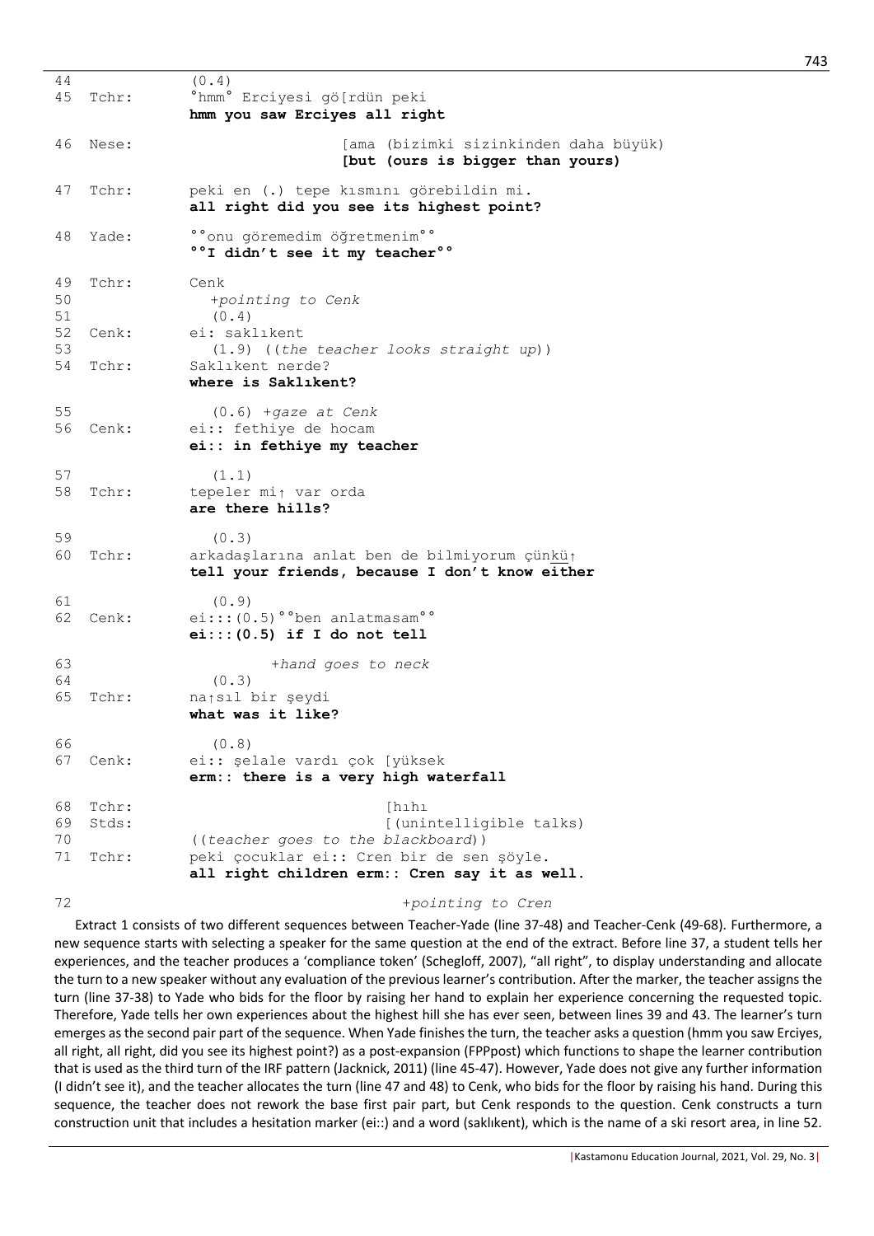| 44<br>45             | Tchr:                   | (0.4)<br>°hmm° Erciyesi gö[rdün peki<br>hmm you saw Erciyes all right                                               |
|----------------------|-------------------------|---------------------------------------------------------------------------------------------------------------------|
| 46                   | Nese:                   | [ama (bizimki sizinkinden daha büyük)<br>[but (ours is bigger than yours)                                           |
| 47                   | Tchr:                   | peki en (.) tepe kısmını görebildin mi.<br>all right did you see its highest point?                                 |
| 48                   | Yade:                   | °°onu göremedim öğretmenim°°<br>°°I didn't see it my teacher°°                                                      |
| 49<br>50             | Tchr:                   | Cenk<br>+pointing to Cenk                                                                                           |
| 51<br>52<br>53       | Cenk:                   | (0.4)<br>ei: saklıkent<br>(1.9) ((the teacher looks straight up))                                                   |
| 54                   | Tchr:                   | Saklıkent nerde?<br>where is Saklikent?                                                                             |
| 55<br>56             | Cenk:                   | $(0.6)$ +gaze at Cenk<br>ei:: fethiye de hocam<br>ei:: in fethiye my teacher                                        |
| 57<br>58             | Tchr:                   | (1.1)<br>tepeler mi <sub>1</sub> var orda<br>are there hills?                                                       |
| 59<br>60             | Tchr:                   | (0.3)<br>arkadaşlarına anlat ben de bilmiyorum çünkü <sub>l</sub><br>tell your friends, because I don't know either |
| 61<br>62             | Cenk:                   | (0.9)<br>$e_i::(0.5)$ ° ben anlatmasam <sup>o</sup><br>$e_i$ ::: $(0.5)$ if I do not tell                           |
| 63<br>64<br>65       | Tchr:                   | +hand goes to neck<br>(0.3)<br>natsıl bir şeydi<br>what was it like?                                                |
| 66<br>67             | Cenk:                   | (0.8)<br>ei:: şelale vardı çok [yüksek<br>erm:: there is a very high waterfall                                      |
| 68<br>69<br>70<br>71 | Tchr:<br>Stds:<br>Tchr: | [hıhı<br>[(unintelligible talks)<br>((teacher goes to the blackboard))<br>peki çocuklar ei:: Cren bir de sen şöyle. |
|                      |                         | all right children erm:: Cren say it as well.                                                                       |
| 72                   |                         | +pointing to Cren                                                                                                   |

Extract 1 consists of two different sequences between Teacher-Yade (line 37-48) and Teacher-Cenk (49-68). Furthermore, a new sequence starts with selecting a speaker for the same question at the end of the extract. Before line 37, a student tells her experiences, and the teacher produces a 'compliance token' (Schegloff, 2007), "all right", to display understanding and allocate the turn to a new speaker without any evaluation of the previous learner's contribution. After the marker, the teacher assigns the turn (line 37-38) to Yade who bids for the floor by raising her hand to explain her experience concerning the requested topic. Therefore, Yade tells her own experiences about the highest hill she has ever seen, between lines 39 and 43. The learner's turn emerges as the second pair part of the sequence. When Yade finishes the turn, the teacher asks a question (hmm you saw Erciyes, all right, all right, did you see its highest point?) as a post-expansion (FPPpost) which functions to shape the learner contribution that is used as the third turn of the IRF pattern (Jacknick, 2011) (line 45-47). However, Yade does not give any further information (I didn't see it), and the teacher allocates the turn (line 47 and 48) to Cenk, who bids for the floor by raising his hand. During this sequence, the teacher does not rework the base first pair part, but Cenk responds to the question. Cenk constructs a turn construction unit that includes a hesitation marker (ei::) and a word (saklıkent), which is the name of a ski resort area, in line 52.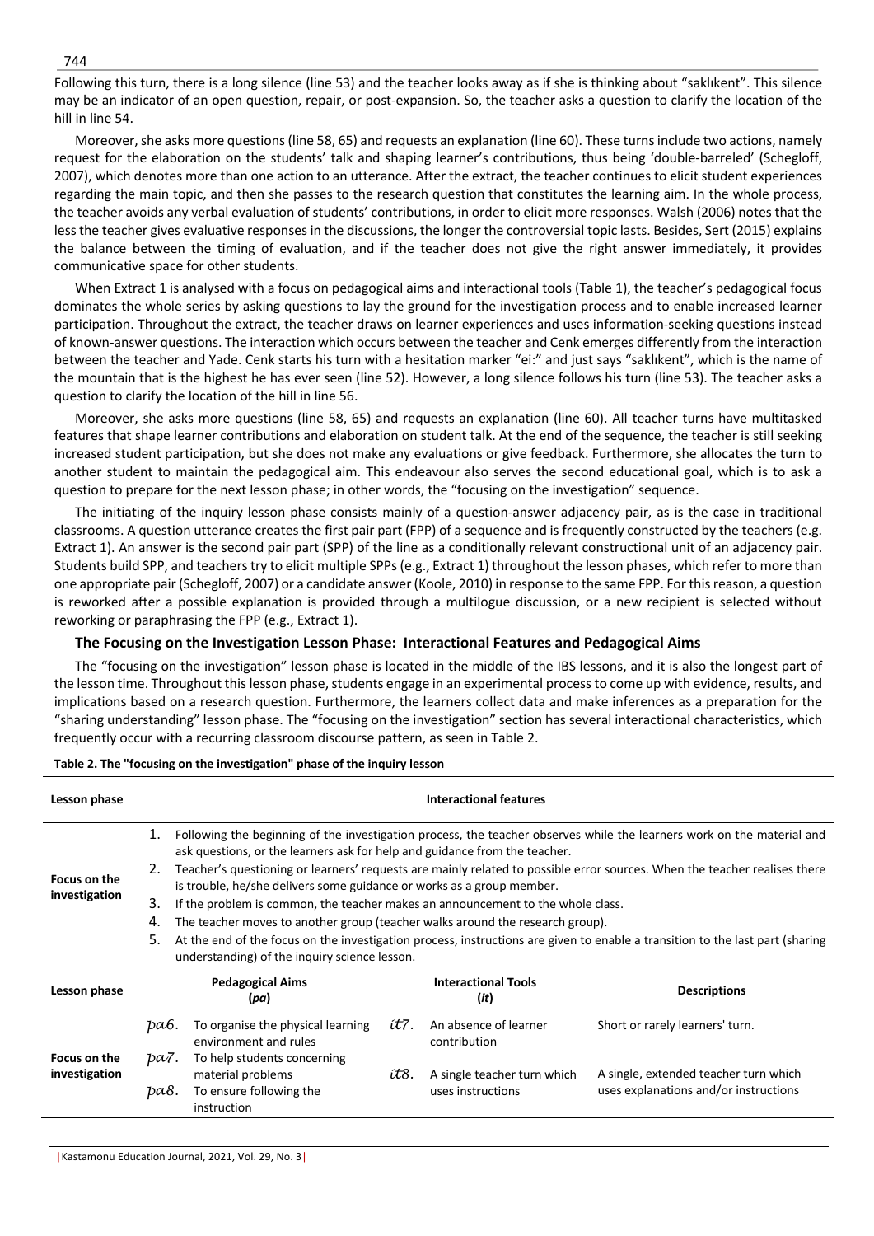Following this turn, there is a long silence (line 53) and the teacher looks away as if she is thinking about "saklıkent". This silence may be an indicator of an open question, repair, or post-expansion. So, the teacher asks a question to clarify the location of the hill in line 54.

Moreover, she asks more questions (line 58, 65) and requests an explanation (line 60). These turns include two actions, namely request for the elaboration on the students' talk and shaping learner's contributions, thus being 'double-barreled' (Schegloff, 2007), which denotes more than one action to an utterance. After the extract, the teacher continues to elicit student experiences regarding the main topic, and then she passes to the research question that constitutes the learning aim. In the whole process, the teacher avoids any verbal evaluation of students' contributions, in order to elicit more responses. Walsh (2006) notes that the less the teacher gives evaluative responses in the discussions, the longer the controversial topic lasts. Besides, Sert (2015) explains the balance between the timing of evaluation, and if the teacher does not give the right answer immediately, it provides communicative space for other students.

When Extract 1 is analysed with a focus on pedagogical aims and interactional tools (Table 1), the teacher's pedagogical focus dominates the whole series by asking questions to lay the ground for the investigation process and to enable increased learner participation. Throughout the extract, the teacher draws on learner experiences and uses information-seeking questions instead of known-answer questions. The interaction which occurs between the teacher and Cenk emerges differently from the interaction between the teacher and Yade. Cenk starts his turn with a hesitation marker "ei:" and just says "saklıkent", which is the name of the mountain that is the highest he has ever seen (line 52). However, a long silence follows his turn (line 53). The teacher asks a question to clarify the location of the hill in line 56.

Moreover, she asks more questions (line 58, 65) and requests an explanation (line 60). All teacher turns have multitasked features that shape learner contributions and elaboration on student talk. At the end of the sequence, the teacher is still seeking increased student participation, but she does not make any evaluations or give feedback. Furthermore, she allocates the turn to another student to maintain the pedagogical aim. This endeavour also serves the second educational goal, which is to ask a question to prepare for the next lesson phase; in other words, the "focusing on the investigation" sequence.

The initiating of the inquiry lesson phase consists mainly of a question-answer adjacency pair, as is the case in traditional classrooms. A question utterance creates the first pair part (FPP) of a sequence and is frequently constructed by the teachers (e.g. Extract 1). An answer is the second pair part (SPP) of the line as a conditionally relevant constructional unit of an adjacency pair. Students build SPP, and teachers try to elicit multiple SPPs (e.g., Extract 1) throughout the lesson phases, which refer to more than one appropriate pair (Schegloff, 2007) or a candidate answer (Koole, 2010) in response to the same FPP. For this reason, a question is reworked after a possible explanation is provided through a multilogue discussion, or a new recipient is selected without reworking or paraphrasing the FPP (e.g., Extract 1).

# **The Focusing on the Investigation Lesson Phase: Interactional Features and Pedagogical Aims**

The "focusing on the investigation" lesson phase is located in the middle of the IBS lessons, and it is also the longest part of the lesson time. Throughout this lesson phase, students engage in an experimental process to come up with evidence, results, and implications based on a research question. Furthermore, the learners collect data and make inferences as a preparation for the "sharing understanding" lesson phase. The "focusing on the investigation" section has several interactional characteristics, which frequently occur with a recurring classroom discourse pattern, as seen in Table 2.

| Lesson phase                  |              | Interactional features                                                                                                                                                                               |      |                                                           |                                                                                                                           |  |  |  |
|-------------------------------|--------------|------------------------------------------------------------------------------------------------------------------------------------------------------------------------------------------------------|------|-----------------------------------------------------------|---------------------------------------------------------------------------------------------------------------------------|--|--|--|
|                               | 1.           | Following the beginning of the investigation process, the teacher observes while the learners work on the material and<br>ask questions, or the learners ask for help and guidance from the teacher. |      |                                                           |                                                                                                                           |  |  |  |
| Focus on the                  | 2.           | is trouble, he/she delivers some guidance or works as a group member.                                                                                                                                |      |                                                           | Teacher's questioning or learners' requests are mainly related to possible error sources. When the teacher realises there |  |  |  |
| investigation                 | 3.           | If the problem is common, the teacher makes an announcement to the whole class.                                                                                                                      |      |                                                           |                                                                                                                           |  |  |  |
|                               | 4.           | The teacher moves to another group (teacher walks around the research group).                                                                                                                        |      |                                                           |                                                                                                                           |  |  |  |
|                               | 5.           | At the end of the focus on the investigation process, instructions are given to enable a transition to the last part (sharing<br>understanding) of the inquiry science lesson.                       |      |                                                           |                                                                                                                           |  |  |  |
| Lesson phase                  |              | <b>Pedagogical Aims</b><br>(pa)                                                                                                                                                                      |      | <b>Interactional Tools</b><br><b>Descriptions</b><br>(it) |                                                                                                                           |  |  |  |
|                               | pа6.         | To organise the physical learning<br>environment and rules                                                                                                                                           | ít7. | An absence of learner<br>contribution                     | Short or rarely learners' turn.                                                                                           |  |  |  |
| Focus on the<br>investigation | pa7.<br>ba8. | To help students concerning<br>material problems<br>To ensure following the                                                                                                                          | ít8. | A single teacher turn which<br>uses instructions          | A single, extended teacher turn which<br>uses explanations and/or instructions                                            |  |  |  |
|                               |              | instruction                                                                                                                                                                                          |      |                                                           |                                                                                                                           |  |  |  |

## **Table 2. The "focusing on the investigation" phase of the inquiry lesson**

|Kastamonu Education Journal, 2021, Vol. 29, No. 3|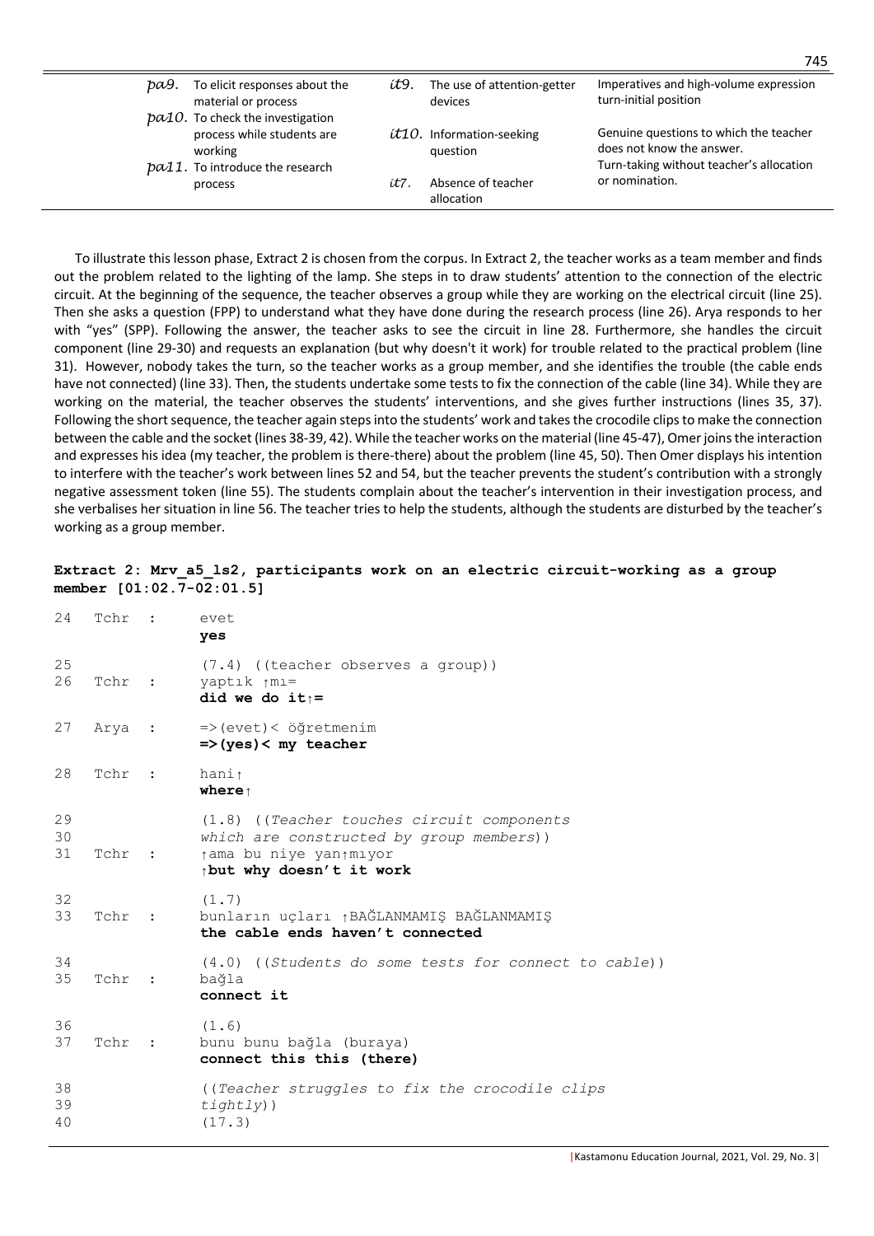| ba9. | To elicit responses about the<br>material or process                         | ít9. | The use of attention-getter<br>devices  | Imperatives and high-volume expression<br>turn-initial position     |
|------|------------------------------------------------------------------------------|------|-----------------------------------------|---------------------------------------------------------------------|
|      | $pa10$ . To check the investigation<br>process while students are<br>working |      | $t10$ . Information-seeking<br>question | Genuine questions to which the teacher<br>does not know the answer. |
|      | $pa11$ . To introduce the research<br>process                                | ít7. | Absence of teacher<br>allocation        | Turn-taking without teacher's allocation<br>or nomination.          |

To illustrate this lesson phase, Extract 2 is chosen from the corpus. In Extract 2, the teacher works as a team member and finds out the problem related to the lighting of the lamp. She steps in to draw students' attention to the connection of the electric circuit. At the beginning of the sequence, the teacher observes a group while they are working on the electrical circuit (line 25). Then she asks a question (FPP) to understand what they have done during the research process (line 26). Arya responds to her with "yes" (SPP). Following the answer, the teacher asks to see the circuit in line 28. Furthermore, she handles the circuit component (line 29-30) and requests an explanation (but why doesn't it work) for trouble related to the practical problem (line 31). However, nobody takes the turn, so the teacher works as a group member, and she identifies the trouble (the cable ends have not connected) (line 33). Then, the students undertake some tests to fix the connection of the cable (line 34). While they are working on the material, the teacher observes the students' interventions, and she gives further instructions (lines 35, 37). Following the short sequence, the teacher again steps into the students' work and takes the crocodile clips to make the connection between the cable and the socket (lines 38-39, 42). While the teacher works on the material (line 45-47), Omer joins the interaction and expresses his idea (my teacher, the problem is there-there) about the problem (line 45, 50). Then Omer displays his intention to interfere with the teacher's work between lines 52 and 54, but the teacher prevents the student's contribution with a strongly negative assessment token (line 55). The students complain about the teacher's intervention in their investigation process, and she verbalises her situation in line 56. The teacher tries to help the students, although the students are disturbed by the teacher's working as a group member.

## Extract 2: Mrv a5 ls2, participants work on an electric circuit-working as a group **member [01:02.7-02:01.5]**

| 24             | Tchr   | $\sim$ 100 $\pm$ | evet<br>yes                                                                                                                                    |
|----------------|--------|------------------|------------------------------------------------------------------------------------------------------------------------------------------------|
| 25<br>26       | Tchr : |                  | (7.4) ((teacher observes a group))<br>yaptık $\uparrow$ mı=<br>did we do it $\uparrow$ =                                                       |
| 27             | Arya : |                  | $\Rightarrow$ (evet) < öğretmenim<br>$\Rightarrow$ (yes) < my teacher                                                                          |
| 28             | Tchr   | $\sim$ 1         | hani $\uparrow$<br>where $\uparrow$                                                                                                            |
| 29<br>30<br>31 | Tchr : |                  | $(1.8)$ ((Teacher touches circuit components)<br>which are constructed by group members))<br>tama bu niye yantmıyor<br>pot why doesn't it work |
| 32<br>33       | Tchr : |                  | (1.7)<br>bunların uçları <sub>1</sub> BAĞLANMAMIŞ BAĞLANMAMIŞ<br>the cable ends haven't connected                                              |
| 34<br>35       | Tchr   | $\sim$ 1         | $(4.0)$ ((Students do some tests for connect to cable))<br>bağla<br>connect it                                                                 |
| 36<br>37       | Tchr   | $\sim$ 1         | (1.6)<br>bunu bunu bağla (buraya)<br>connect this this (there)                                                                                 |
| 38<br>39<br>40 |        |                  | ((Teacher struggles to fix the crocodile clips<br>$t \text{if} \text{gh} \text{tl} \text{y})$ )<br>(17.3)                                      |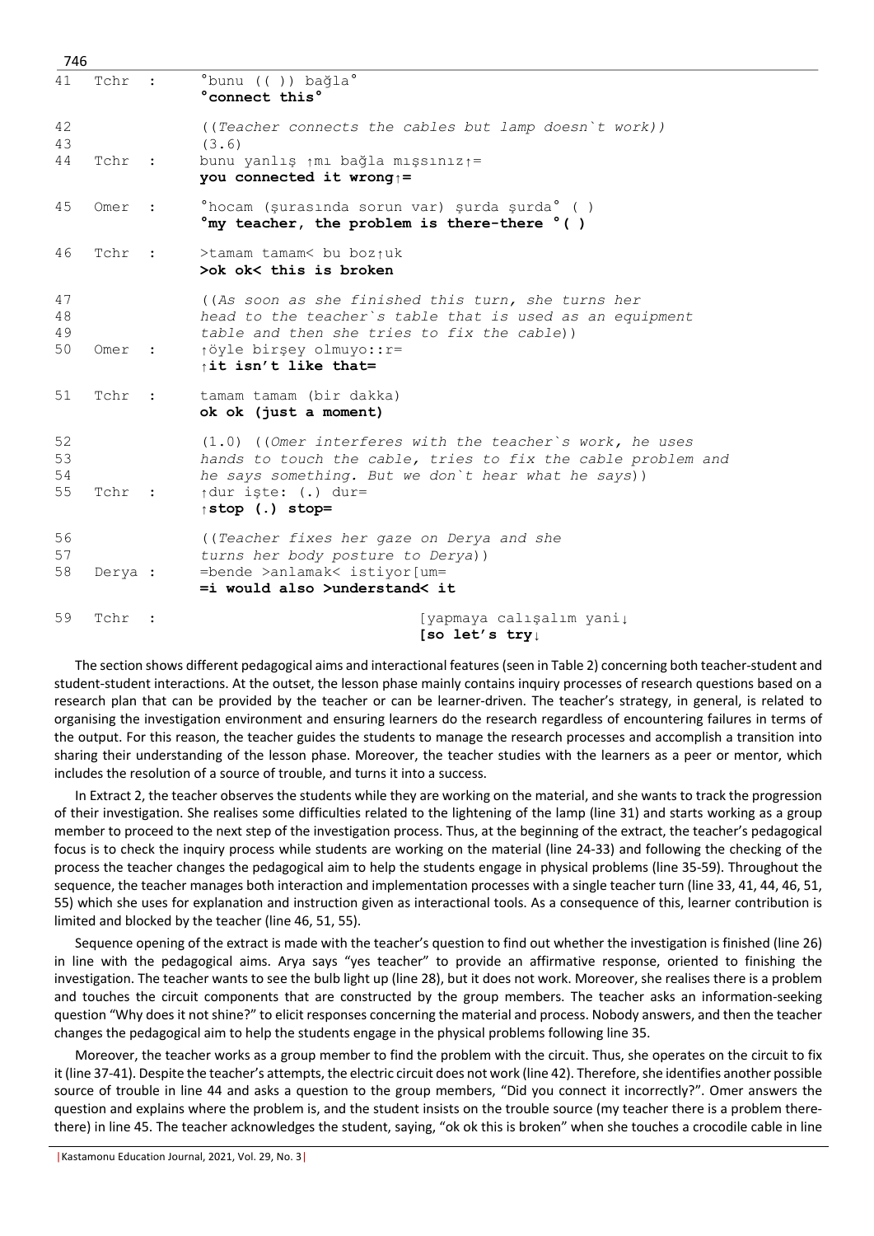| 746                  |         |              |                                                                                                                                                                                                                                                 |
|----------------------|---------|--------------|-------------------------------------------------------------------------------------------------------------------------------------------------------------------------------------------------------------------------------------------------|
| 41                   | Tchr    |              | °bunu (()) bağla°<br>°connect this°                                                                                                                                                                                                             |
| 42<br>43<br>44       | Tchr    | $\sim$ 1.    | ((Teacher connects the cables but lamp doesn't work))<br>(3.6)<br>bunu yanlış $\uparrow$ mı bağla mışsınız $\uparrow$ =<br>you connected it wrong <sub>1</sub> =                                                                                |
| 45                   | Omer    |              | °hocam (şurasında sorun var) şurda şurda° ( )<br>$\degree$ my teacher, the problem is there-there $\degree$ ()                                                                                                                                  |
| 46                   | Tchr    | $\mathbf{r}$ | >tamam tamam< bu boziuk<br>>ok ok< this is broken                                                                                                                                                                                               |
| 47<br>48<br>49<br>50 | Omer    | $\sim$ 1.    | ((As soon as she finished this turn, she turns her<br>head to the teacher's table that is used as an equipment<br>table and then she tries to fix the cable))<br>töyle birşey olmuyo:: r=<br>it isn't like that=                                |
| 51                   | Tchr    | $\sim$ 1.    | tamam tamam (bir dakka)<br>ok ok (just a moment)                                                                                                                                                                                                |
| 52<br>53<br>54<br>55 | Tchr    | $\sim$ 1.    | $(1.0)$ ((Omer interferes with the teacher's work, he uses<br>hands to touch the cable, tries to fix the cable problem and<br>he says something. But we don't hear what he says))<br>$\uparrow$ dur iste: (.) dur=<br>$\uparrow$ stop (.) stop= |
| 56<br>57<br>58       | Derya : |              | ((Teacher fixes her gaze on Derya and she<br>turns her body posture to Derya))<br>=bende >anlamak< istiyor[um=<br>=i would also >understand< it                                                                                                 |
| 59                   | Tchr    |              | [yapmaya calışalım yani↓<br>[so let's $try_{\perp}$                                                                                                                                                                                             |

The section shows different pedagogical aims and interactional features (seen in Table 2) concerning both teacher-student and student-student interactions. At the outset, the lesson phase mainly contains inquiry processes of research questions based on a research plan that can be provided by the teacher or can be learner-driven. The teacher's strategy, in general, is related to organising the investigation environment and ensuring learners do the research regardless of encountering failures in terms of the output. For this reason, the teacher guides the students to manage the research processes and accomplish a transition into sharing their understanding of the lesson phase. Moreover, the teacher studies with the learners as a peer or mentor, which includes the resolution of a source of trouble, and turns it into a success.

In Extract 2, the teacher observes the students while they are working on the material, and she wants to track the progression of their investigation. She realises some difficulties related to the lightening of the lamp (line 31) and starts working as a group member to proceed to the next step of the investigation process. Thus, at the beginning of the extract, the teacher's pedagogical focus is to check the inquiry process while students are working on the material (line 24-33) and following the checking of the process the teacher changes the pedagogical aim to help the students engage in physical problems (line 35-59). Throughout the sequence, the teacher manages both interaction and implementation processes with a single teacher turn (line 33, 41, 44, 46, 51, 55) which she uses for explanation and instruction given as interactional tools. As a consequence of this, learner contribution is limited and blocked by the teacher (line 46, 51, 55).

Sequence opening of the extract is made with the teacher's question to find out whether the investigation is finished (line 26) in line with the pedagogical aims. Arya says "yes teacher" to provide an affirmative response, oriented to finishing the investigation. The teacher wants to see the bulb light up (line 28), but it does not work. Moreover, she realises there is a problem and touches the circuit components that are constructed by the group members. The teacher asks an information-seeking question "Why does it not shine?" to elicit responses concerning the material and process. Nobody answers, and then the teacher changes the pedagogical aim to help the students engage in the physical problems following line 35.

Moreover, the teacher works as a group member to find the problem with the circuit. Thus, she operates on the circuit to fix it (line 37-41). Despite the teacher's attempts, the electric circuit does not work (line 42). Therefore, she identifies another possible source of trouble in line 44 and asks a question to the group members, "Did you connect it incorrectly?". Omer answers the question and explains where the problem is, and the student insists on the trouble source (my teacher there is a problem therethere) in line 45. The teacher acknowledges the student, saying, "ok ok this is broken" when she touches a crocodile cable in line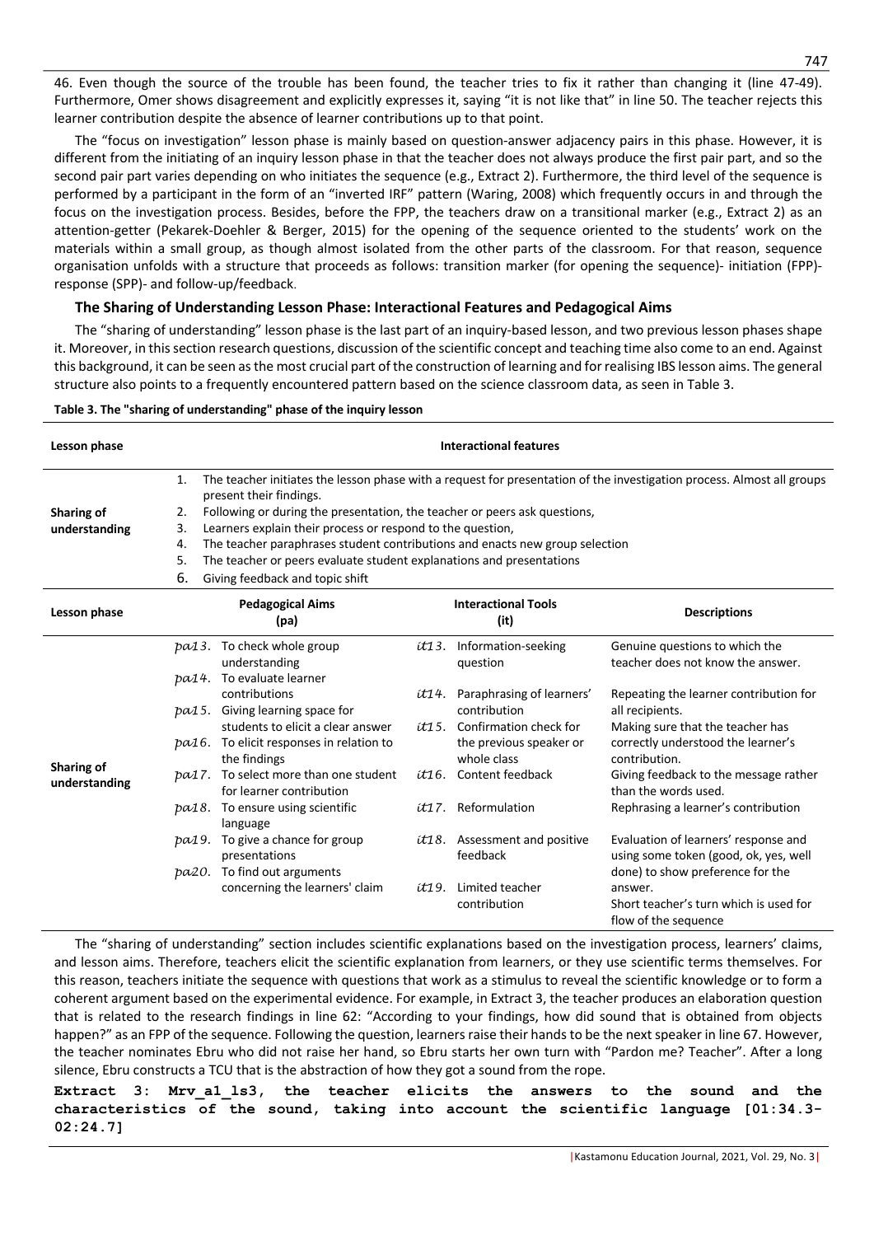46. Even though the source of the trouble has been found, the teacher tries to fix it rather than changing it (line 47-49). Furthermore, Omer shows disagreement and explicitly expresses it, saying "it is not like that" in line 50. The teacher rejects this learner contribution despite the absence of learner contributions up to that point.

The "focus on investigation" lesson phase is mainly based on question-answer adjacency pairs in this phase. However, it is different from the initiating of an inquiry lesson phase in that the teacher does not always produce the first pair part, and so the second pair part varies depending on who initiates the sequence (e.g., Extract 2). Furthermore, the third level of the sequence is performed by a participant in the form of an "inverted IRF" pattern (Waring, 2008) which frequently occurs in and through the focus on the investigation process. Besides, before the FPP, the teachers draw on a transitional marker (e.g., Extract 2) as an attention-getter (Pekarek-Doehler & Berger, 2015) for the opening of the sequence oriented to the students' work on the materials within a small group, as though almost isolated from the other parts of the classroom. For that reason, sequence organisation unfolds with a structure that proceeds as follows: transition marker (for opening the sequence)- initiation (FPP) response (SPP)- and follow-up/feedback.

## **The Sharing of Understanding Lesson Phase: Interactional Features and Pedagogical Aims**

The "sharing of understanding" lesson phase is the last part of an inquiry-based lesson, and two previous lesson phases shape it. Moreover, in this section research questions, discussion of the scientific concept and teaching time also come to an end. Against this background, it can be seen as the most crucial part of the construction of learning and for realising IBS lesson aims. The general structure also points to a frequently encountered pattern based on the science classroom data, as seen in Table 3.

| Lesson phase                |       | <b>Interactional features</b>                                                |  |                                                    |                                                                                                                        |  |  |  |
|-----------------------------|-------|------------------------------------------------------------------------------|--|----------------------------------------------------|------------------------------------------------------------------------------------------------------------------------|--|--|--|
|                             | 1.    | present their findings.                                                      |  |                                                    | The teacher initiates the lesson phase with a request for presentation of the investigation process. Almost all groups |  |  |  |
| Sharing of                  | 2.    | Following or during the presentation, the teacher or peers ask questions,    |  |                                                    |                                                                                                                        |  |  |  |
| understanding               | 3.    | Learners explain their process or respond to the question,                   |  |                                                    |                                                                                                                        |  |  |  |
|                             | 4.    | The teacher paraphrases student contributions and enacts new group selection |  |                                                    |                                                                                                                        |  |  |  |
|                             | 5.    | The teacher or peers evaluate student explanations and presentations         |  |                                                    |                                                                                                                        |  |  |  |
|                             | 6.    | Giving feedback and topic shift                                              |  |                                                    |                                                                                                                        |  |  |  |
| Lesson phase                |       | <b>Pedagogical Aims</b><br>(pa)                                              |  | <b>Interactional Tools</b><br>(it)                 | <b>Descriptions</b>                                                                                                    |  |  |  |
|                             | pa13. | To check whole group<br>understanding                                        |  | $t13.$ Information-seeking<br>question             | Genuine questions to which the<br>teacher does not know the answer.                                                    |  |  |  |
|                             | pa14. | To evaluate learner<br>contributions                                         |  | it14. Paraphrasing of learners'                    | Repeating the learner contribution for                                                                                 |  |  |  |
|                             | pa15. | Giving learning space for<br>students to elicit a clear answer               |  | contribution<br>$t\tau$ 15. Confirmation check for | all recipients.<br>Making sure that the teacher has                                                                    |  |  |  |
|                             |       | $pa16.$ To elicit responses in relation to<br>the findings                   |  | the previous speaker or<br>whole class             | correctly understood the learner's<br>contribution.                                                                    |  |  |  |
| Sharing of<br>understanding | pa17. | To select more than one student<br>for learner contribution                  |  | it16. Content feedback                             | Giving feedback to the message rather<br>than the words used.                                                          |  |  |  |
|                             |       | $pa18.$ To ensure using scientific<br>language                               |  | it17. Reformulation                                | Rephrasing a learner's contribution                                                                                    |  |  |  |
|                             | pa19. | To give a chance for group<br>presentations                                  |  | $t18$ . Assessment and positive<br>feedback        | Evaluation of learners' response and<br>using some token (good, ok, yes, well                                          |  |  |  |
|                             | pa20. | To find out arguments                                                        |  |                                                    | done) to show preference for the                                                                                       |  |  |  |
|                             |       | concerning the learners' claim                                               |  | <i>it19.</i> Limited teacher                       | answer.                                                                                                                |  |  |  |
|                             |       |                                                                              |  | contribution                                       | Short teacher's turn which is used for<br>flow of the sequence                                                         |  |  |  |

#### **Table 3. The "sharing of understanding" phase of the inquiry lesson**

The "sharing of understanding" section includes scientific explanations based on the investigation process, learners' claims, and lesson aims. Therefore, teachers elicit the scientific explanation from learners, or they use scientific terms themselves. For this reason, teachers initiate the sequence with questions that work as a stimulus to reveal the scientific knowledge or to form a coherent argument based on the experimental evidence. For example, in Extract 3, the teacher produces an elaboration question that is related to the research findings in line 62: "According to your findings, how did sound that is obtained from objects happen?" as an FPP of the sequence. Following the question, learners raise their hands to be the next speaker in line 67. However, the teacher nominates Ebru who did not raise her hand, so Ebru starts her own turn with "Pardon me? Teacher". After a long silence, Ebru constructs a TCU that is the abstraction of how they got a sound from the rope.

Extract 3: Mrv al 1s3, the teacher elicits the answers to the sound and the **characteristics of the sound, taking into account the scientific language [01:34.3- 02:24.7]**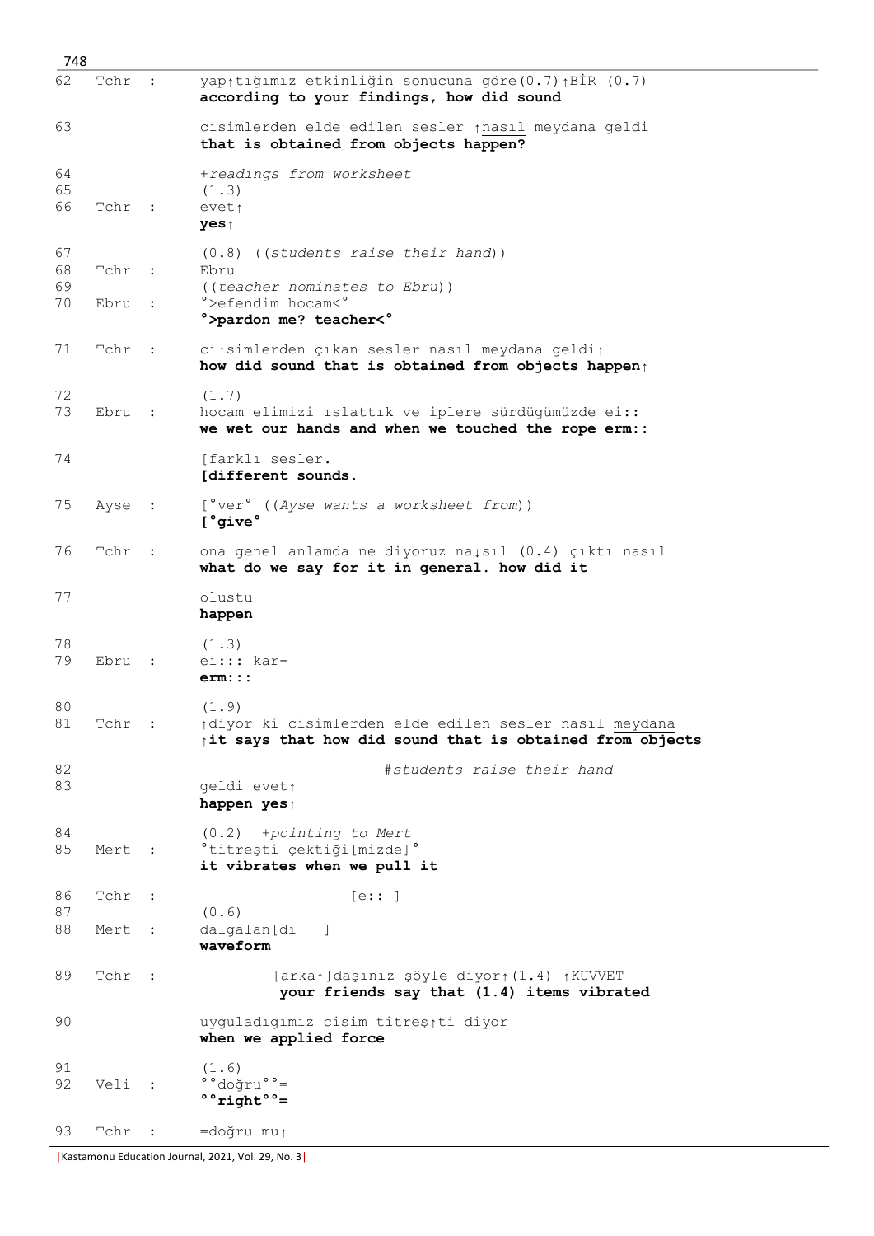| 748                  |                |           |                                                                                                                                        |
|----------------------|----------------|-----------|----------------------------------------------------------------------------------------------------------------------------------------|
| 62                   | Tchr           |           | yap <sub>1</sub> tığımız etkinliğin sonucuna göre(0.7) <sub>1</sub> BİR (0.7)<br>according to your findings, how did sound             |
| 63                   |                |           | cisimlerden elde edilen sesler inasıl meydana geldi<br>that is obtained from objects happen?                                           |
| 64<br>65<br>66       | Tchr :         |           | +readings from worksheet<br>(1.3)<br>eveti<br>yes↑                                                                                     |
| 67<br>68<br>69<br>70 | Tchr :<br>Ebru | $\cdot$ : | $(0.8)$ ((students raise their hand))<br>Ebru<br>((teacher nominates to Ebru))<br>°>efendim hocam<°<br>°>pardon me? teacher<°          |
| 71                   | Tchr :         |           | ci simlerden çıkan sesler nasıl meydana geldi t<br>how did sound that is obtained from objects happen                                  |
| 72<br>73             | Ebru :         |           | (1.7)<br>hocam elimizi ıslattık ve iplere sürdügümüzde ei::<br>we wet our hands and when we touched the rope erm::                     |
| 74                   |                |           | [farkli sesler.<br>[different sounds.                                                                                                  |
| 75                   | Ayse :         |           | [°ver° ((Ayse wants a worksheet from))<br>[ <sup>°</sup> give <sup>°</sup>                                                             |
| 76                   | Tchr :         |           | ona genel anlamda ne diyoruz naisil (0.4) çıktı nasıl<br>what do we say for it in general. how did it                                  |
| 77                   |                |           | olustu<br>happen                                                                                                                       |
| 78<br>79             | Ebru           | $\sim$ 1  | (1.3)<br>$e$ i::: kar-<br>erm:::                                                                                                       |
| 80<br>81             | Tchr :         |           | (1.9)<br>tdiyor ki cisimlerden elde edilen sesler nasıl meydana<br>$\uparrow$ it says that how did sound that is obtained from objects |
| 82<br>83             |                |           | #students raise their hand<br>geldi evet <sub>1</sub><br>happen yes↑                                                                   |
| 84<br>85             | Mert :         |           | $(0.2)$ +pointing to Mert<br>°titreşti çektiği[mizde]°<br>it vibrates when we pull it                                                  |
| 86<br>87             | Tchr           | $\sim$ :  | [e: : ]                                                                                                                                |
| 88                   | Mert           | $\sim$ :  | (0.6)<br>dalgalan[dı<br>$\overline{\phantom{a}}$<br>waveform                                                                           |
| 89                   | Tchr :         |           | [arkat]daşınız şöyle diyort (1.4) tKUVVET<br>your friends say that (1.4) items vibrated                                                |
| 90                   |                |           | uyguladıgımız cisim titreş <sub>î</sub> ti diyor<br>when we applied force                                                              |
| 91<br>92             | Veli :         |           | (1.6)<br>°°doğru°°=<br>$\degree$ right $\degree$ =                                                                                     |
| 93                   | Tchr :         |           | =doğru mu <sub>î</sub>                                                                                                                 |

|Kastamonu Education Journal, 2021, Vol. 29, No. 3|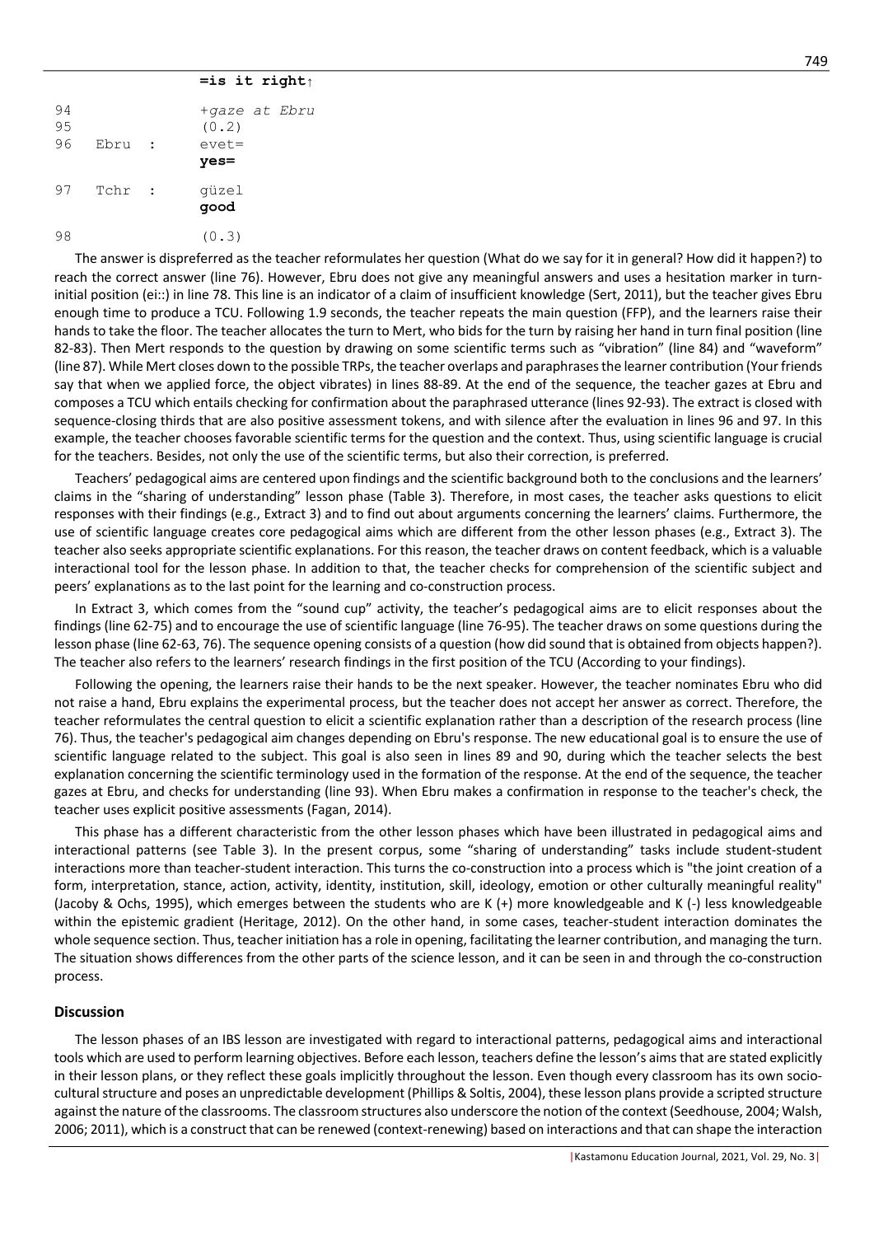#### **=is it right↑**

| 94<br>95<br>96 | Ebru   | $\sim$ | +gaze at Ebru<br>(0, 2)<br>$e$ vet=<br>$yes =$ |
|----------------|--------|--------|------------------------------------------------|
| 97             | Tchr : |        | qüzel<br>qood                                  |
| 98             |        |        | (0.3)                                          |

The answer is dispreferred as the teacher reformulates her question (What do we say for it in general? How did it happen?) to reach the correct answer (line 76). However, Ebru does not give any meaningful answers and uses a hesitation marker in turninitial position (ei::) in line 78. This line is an indicator of a claim of insufficient knowledge (Sert, 2011), but the teacher gives Ebru enough time to produce a TCU. Following 1.9 seconds, the teacher repeats the main question (FFP), and the learners raise their hands to take the floor. The teacher allocates the turn to Mert, who bids for the turn by raising her hand in turn final position (line 82-83). Then Mert responds to the question by drawing on some scientific terms such as "vibration" (line 84) and "waveform" (line 87). While Mert closes down to the possible TRPs, the teacher overlaps and paraphrases the learner contribution (Your friends say that when we applied force, the object vibrates) in lines 88-89. At the end of the sequence, the teacher gazes at Ebru and composes a TCU which entails checking for confirmation about the paraphrased utterance (lines 92-93). The extract is closed with sequence-closing thirds that are also positive assessment tokens, and with silence after the evaluation in lines 96 and 97. In this example, the teacher chooses favorable scientific terms for the question and the context. Thus, using scientific language is crucial for the teachers. Besides, not only the use of the scientific terms, but also their correction, is preferred.

Teachers' pedagogical aims are centered upon findings and the scientific background both to the conclusions and the learners' claims in the "sharing of understanding" lesson phase (Table 3). Therefore, in most cases, the teacher asks questions to elicit responses with their findings (e.g., Extract 3) and to find out about arguments concerning the learners' claims. Furthermore, the use of scientific language creates core pedagogical aims which are different from the other lesson phases (e.g., Extract 3). The teacher also seeks appropriate scientific explanations. For this reason, the teacher draws on content feedback, which is a valuable interactional tool for the lesson phase. In addition to that, the teacher checks for comprehension of the scientific subject and peers' explanations as to the last point for the learning and co-construction process.

In Extract 3, which comes from the "sound cup" activity, the teacher's pedagogical aims are to elicit responses about the findings (line 62-75) and to encourage the use of scientific language (line 76-95). The teacher draws on some questions during the lesson phase (line 62-63, 76). The sequence opening consists of a question (how did sound that is obtained from objects happen?). The teacher also refers to the learners' research findings in the first position of the TCU (According to your findings).

Following the opening, the learners raise their hands to be the next speaker. However, the teacher nominates Ebru who did not raise a hand, Ebru explains the experimental process, but the teacher does not accept her answer as correct. Therefore, the teacher reformulates the central question to elicit a scientific explanation rather than a description of the research process (line 76). Thus, the teacher's pedagogical aim changes depending on Ebru's response. The new educational goal is to ensure the use of scientific language related to the subject. This goal is also seen in lines 89 and 90, during which the teacher selects the best explanation concerning the scientific terminology used in the formation of the response. At the end of the sequence, the teacher gazes at Ebru, and checks for understanding (line 93). When Ebru makes a confirmation in response to the teacher's check, the teacher uses explicit positive assessments (Fagan, 2014).

This phase has a different characteristic from the other lesson phases which have been illustrated in pedagogical aims and interactional patterns (see Table 3). In the present corpus, some "sharing of understanding" tasks include student-student interactions more than teacher-student interaction. This turns the co-construction into a process which is "the joint creation of a form, interpretation, stance, action, activity, identity, institution, skill, ideology, emotion or other culturally meaningful reality" (Jacoby & Ochs, 1995), which emerges between the students who are K (+) more knowledgeable and K (-) less knowledgeable within the epistemic gradient (Heritage, 2012). On the other hand, in some cases, teacher-student interaction dominates the whole sequence section. Thus, teacher initiation has a role in opening, facilitating the learner contribution, and managing the turn. The situation shows differences from the other parts of the science lesson, and it can be seen in and through the co-construction process.

#### **Discussion**

The lesson phases of an IBS lesson are investigated with regard to interactional patterns, pedagogical aims and interactional tools which are used to perform learning objectives. Before each lesson, teachers define the lesson's aims that are stated explicitly in their lesson plans, or they reflect these goals implicitly throughout the lesson. Even though every classroom has its own sociocultural structure and poses an unpredictable development (Phillips & Soltis, 2004), these lesson plans provide a scripted structure against the nature of the classrooms. The classroom structures also underscore the notion of the context (Seedhouse, 2004; Walsh, 2006; 2011), which is a construct that can be renewed (context-renewing) based on interactions and that can shape the interaction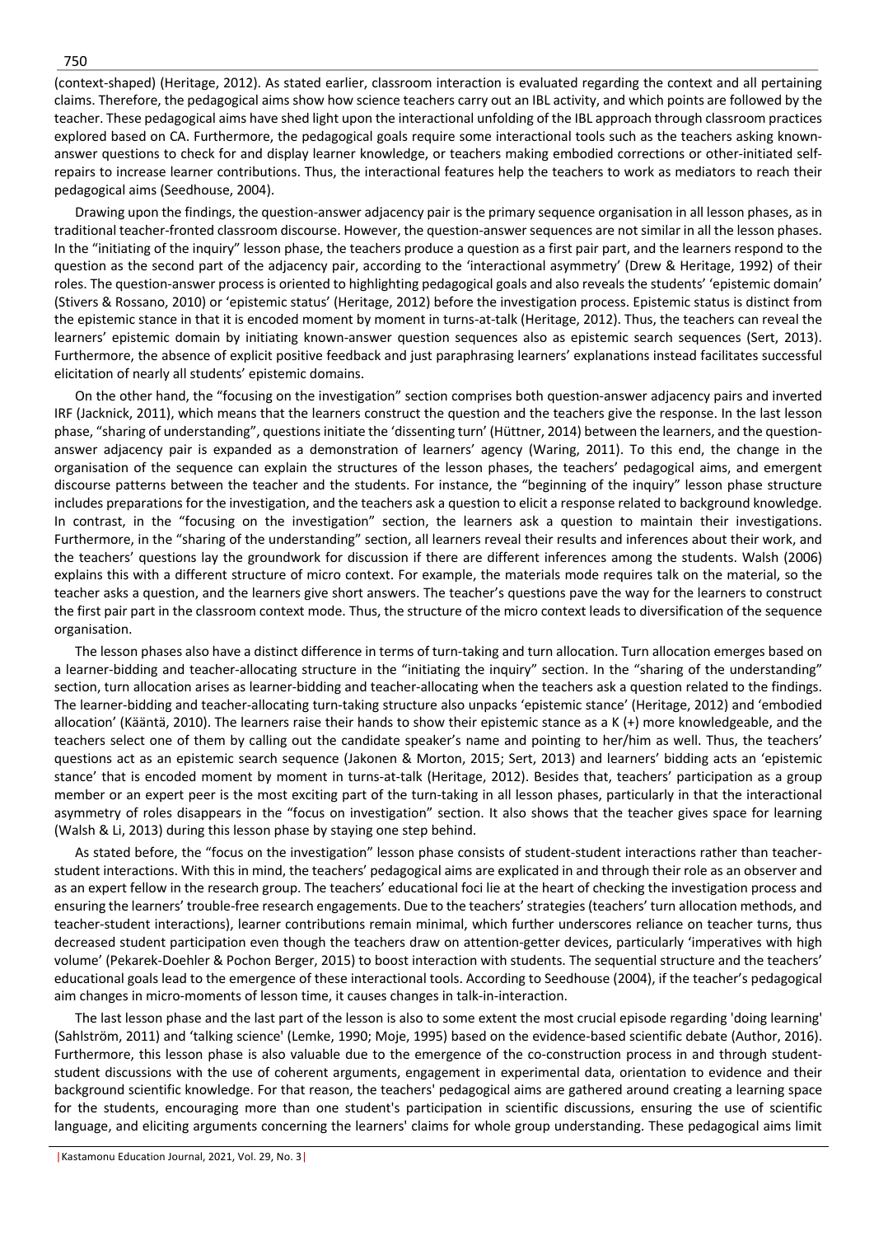(context-shaped) (Heritage, 2012). As stated earlier, classroom interaction is evaluated regarding the context and all pertaining claims. Therefore, the pedagogical aims show how science teachers carry out an IBL activity, and which points are followed by the teacher. These pedagogical aims have shed light upon the interactional unfolding of the IBL approach through classroom practices explored based on CA. Furthermore, the pedagogical goals require some interactional tools such as the teachers asking knownanswer questions to check for and display learner knowledge, or teachers making embodied corrections or other-initiated selfrepairs to increase learner contributions. Thus, the interactional features help the teachers to work as mediators to reach their pedagogical aims (Seedhouse, 2004).

Drawing upon the findings, the question-answer adjacency pair is the primary sequence organisation in all lesson phases, as in traditional teacher-fronted classroom discourse. However, the question-answer sequences are not similar in all the lesson phases. In the "initiating of the inquiry" lesson phase, the teachers produce a question as a first pair part, and the learners respond to the question as the second part of the adjacency pair, according to the 'interactional asymmetry' (Drew & Heritage, 1992) of their roles. The question-answer process is oriented to highlighting pedagogical goals and also reveals the students' 'epistemic domain' (Stivers & Rossano, 2010) or 'epistemic status' (Heritage, 2012) before the investigation process. Epistemic status is distinct from the epistemic stance in that it is encoded moment by moment in turns-at-talk (Heritage, 2012). Thus, the teachers can reveal the learners' epistemic domain by initiating known-answer question sequences also as epistemic search sequences (Sert, 2013). Furthermore, the absence of explicit positive feedback and just paraphrasing learners' explanations instead facilitates successful elicitation of nearly all students' epistemic domains.

On the other hand, the "focusing on the investigation" section comprises both question-answer adjacency pairs and inverted IRF (Jacknick, 2011), which means that the learners construct the question and the teachers give the response. In the last lesson phase, "sharing of understanding", questions initiate the 'dissenting turn' (Hüttner, 2014) between the learners, and the questionanswer adjacency pair is expanded as a demonstration of learners' agency (Waring, 2011). To this end, the change in the organisation of the sequence can explain the structures of the lesson phases, the teachers' pedagogical aims, and emergent discourse patterns between the teacher and the students. For instance, the "beginning of the inquiry" lesson phase structure includes preparations for the investigation, and the teachers ask a question to elicit a response related to background knowledge. In contrast, in the "focusing on the investigation" section, the learners ask a question to maintain their investigations. Furthermore, in the "sharing of the understanding" section, all learners reveal their results and inferences about their work, and the teachers' questions lay the groundwork for discussion if there are different inferences among the students. Walsh (2006) explains this with a different structure of micro context. For example, the materials mode requires talk on the material, so the teacher asks a question, and the learners give short answers. The teacher's questions pave the way for the learners to construct the first pair part in the classroom context mode. Thus, the structure of the micro context leads to diversification of the sequence organisation.

The lesson phases also have a distinct difference in terms of turn-taking and turn allocation. Turn allocation emerges based on a learner-bidding and teacher-allocating structure in the "initiating the inquiry" section. In the "sharing of the understanding" section, turn allocation arises as learner-bidding and teacher-allocating when the teachers ask a question related to the findings. The learner-bidding and teacher-allocating turn-taking structure also unpacks 'epistemic stance' (Heritage, 2012) and 'embodied allocation' (Kääntä, 2010). The learners raise their hands to show their epistemic stance as a K (+) more knowledgeable, and the teachers select one of them by calling out the candidate speaker's name and pointing to her/him as well. Thus, the teachers' questions act as an epistemic search sequence (Jakonen & Morton, 2015; Sert, 2013) and learners' bidding acts an 'epistemic stance' that is encoded moment by moment in turns-at-talk (Heritage, 2012). Besides that, teachers' participation as a group member or an expert peer is the most exciting part of the turn-taking in all lesson phases, particularly in that the interactional asymmetry of roles disappears in the "focus on investigation" section. It also shows that the teacher gives space for learning (Walsh & Li, 2013) during this lesson phase by staying one step behind.

As stated before, the "focus on the investigation" lesson phase consists of student-student interactions rather than teacherstudent interactions. With this in mind, the teachers' pedagogical aims are explicated in and through their role as an observer and as an expert fellow in the research group. The teachers' educational foci lie at the heart of checking the investigation process and ensuring the learners' trouble-free research engagements. Due to the teachers' strategies (teachers' turn allocation methods, and teacher-student interactions), learner contributions remain minimal, which further underscores reliance on teacher turns, thus decreased student participation even though the teachers draw on attention-getter devices, particularly 'imperatives with high volume' (Pekarek-Doehler & Pochon Berger, 2015) to boost interaction with students. The sequential structure and the teachers' educational goals lead to the emergence of these interactional tools. According to Seedhouse (2004), if the teacher's pedagogical aim changes in micro-moments of lesson time, it causes changes in talk-in-interaction.

The last lesson phase and the last part of the lesson is also to some extent the most crucial episode regarding 'doing learning' (Sahlström, 2011) and 'talking science' (Lemke, 1990; Moje, 1995) based on the evidence-based scientific debate (Author, 2016). Furthermore, this lesson phase is also valuable due to the emergence of the co-construction process in and through studentstudent discussions with the use of coherent arguments, engagement in experimental data, orientation to evidence and their background scientific knowledge. For that reason, the teachers' pedagogical aims are gathered around creating a learning space for the students, encouraging more than one student's participation in scientific discussions, ensuring the use of scientific language, and eliciting arguments concerning the learners' claims for whole group understanding. These pedagogical aims limit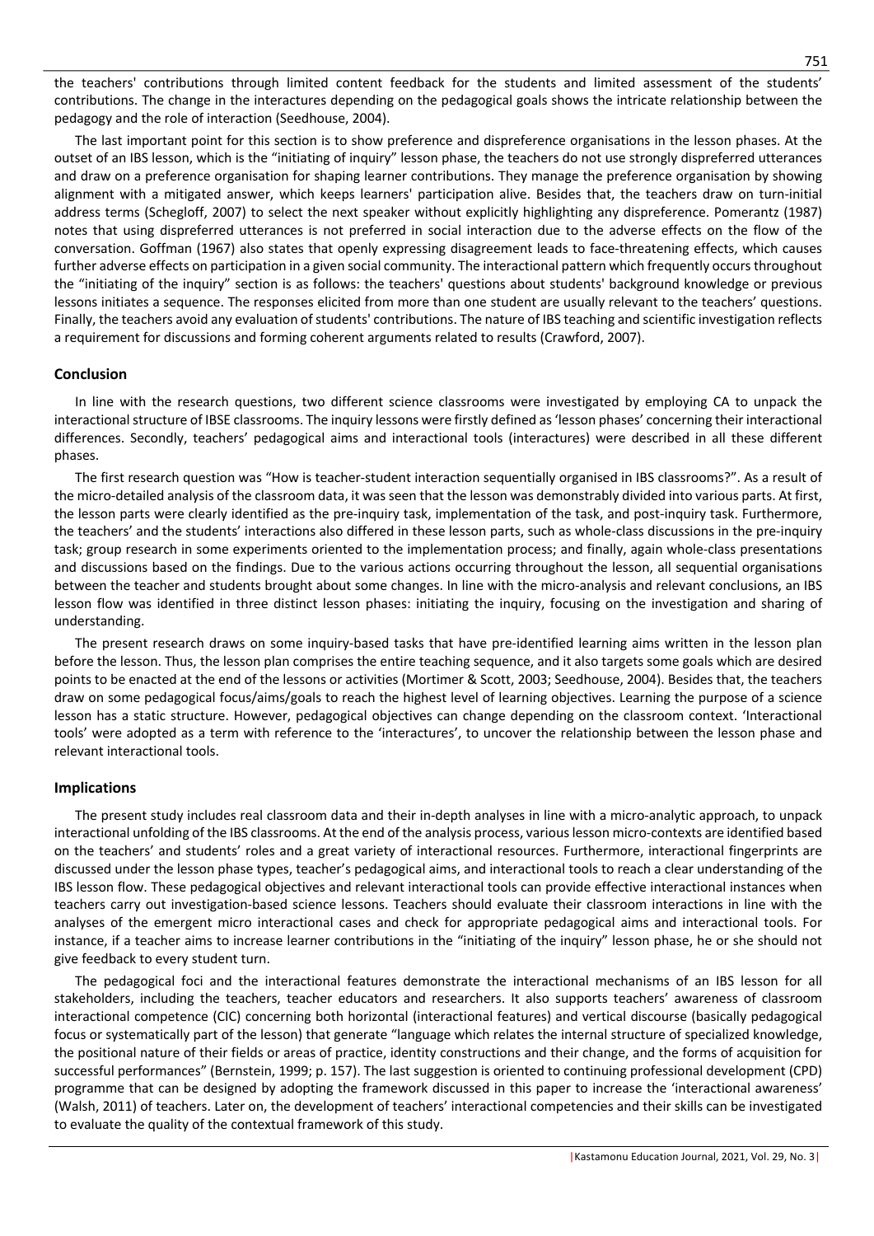the teachers' contributions through limited content feedback for the students and limited assessment of the students' contributions. The change in the interactures depending on the pedagogical goals shows the intricate relationship between the pedagogy and the role of interaction (Seedhouse, 2004).

The last important point for this section is to show preference and dispreference organisations in the lesson phases. At the outset of an IBS lesson, which is the "initiating of inquiry" lesson phase, the teachers do not use strongly dispreferred utterances and draw on a preference organisation for shaping learner contributions. They manage the preference organisation by showing alignment with a mitigated answer, which keeps learners' participation alive. Besides that, the teachers draw on turn-initial address terms (Schegloff, 2007) to select the next speaker without explicitly highlighting any dispreference. Pomerantz (1987) notes that using dispreferred utterances is not preferred in social interaction due to the adverse effects on the flow of the conversation. Goffman (1967) also states that openly expressing disagreement leads to face-threatening effects, which causes further adverse effects on participation in a given social community. The interactional pattern which frequently occurs throughout the "initiating of the inquiry" section is as follows: the teachers' questions about students' background knowledge or previous lessons initiates a sequence. The responses elicited from more than one student are usually relevant to the teachers' questions. Finally, the teachers avoid any evaluation of students' contributions. The nature of IBS teaching and scientific investigation reflects a requirement for discussions and forming coherent arguments related to results (Crawford, 2007).

# **Conclusion**

In line with the research questions, two different science classrooms were investigated by employing CA to unpack the interactional structure of IBSE classrooms. The inquiry lessons were firstly defined as 'lesson phases' concerning their interactional differences. Secondly, teachers' pedagogical aims and interactional tools (interactures) were described in all these different phases.

The first research question was "How is teacher-student interaction sequentially organised in IBS classrooms?". As a result of the micro-detailed analysis of the classroom data, it was seen that the lesson was demonstrably divided into various parts. At first, the lesson parts were clearly identified as the pre-inquiry task, implementation of the task, and post-inquiry task. Furthermore, the teachers' and the students' interactions also differed in these lesson parts, such as whole-class discussions in the pre-inquiry task; group research in some experiments oriented to the implementation process; and finally, again whole-class presentations and discussions based on the findings. Due to the various actions occurring throughout the lesson, all sequential organisations between the teacher and students brought about some changes. In line with the micro-analysis and relevant conclusions, an IBS lesson flow was identified in three distinct lesson phases: initiating the inquiry, focusing on the investigation and sharing of understanding.

The present research draws on some inquiry-based tasks that have pre-identified learning aims written in the lesson plan before the lesson. Thus, the lesson plan comprises the entire teaching sequence, and it also targets some goals which are desired points to be enacted at the end of the lessons or activities (Mortimer & Scott, 2003; Seedhouse, 2004). Besides that, the teachers draw on some pedagogical focus/aims/goals to reach the highest level of learning objectives. Learning the purpose of a science lesson has a static structure. However, pedagogical objectives can change depending on the classroom context. 'Interactional tools' were adopted as a term with reference to the 'interactures', to uncover the relationship between the lesson phase and relevant interactional tools.

# **Implications**

The present study includes real classroom data and their in-depth analyses in line with a micro-analytic approach, to unpack interactional unfolding of the IBS classrooms. At the end of the analysis process, various lesson micro-contexts are identified based on the teachers' and students' roles and a great variety of interactional resources. Furthermore, interactional fingerprints are discussed under the lesson phase types, teacher's pedagogical aims, and interactional tools to reach a clear understanding of the IBS lesson flow. These pedagogical objectives and relevant interactional tools can provide effective interactional instances when teachers carry out investigation-based science lessons. Teachers should evaluate their classroom interactions in line with the analyses of the emergent micro interactional cases and check for appropriate pedagogical aims and interactional tools. For instance, if a teacher aims to increase learner contributions in the "initiating of the inquiry" lesson phase, he or she should not give feedback to every student turn.

The pedagogical foci and the interactional features demonstrate the interactional mechanisms of an IBS lesson for all stakeholders, including the teachers, teacher educators and researchers. It also supports teachers' awareness of classroom interactional competence (CIC) concerning both horizontal (interactional features) and vertical discourse (basically pedagogical focus or systematically part of the lesson) that generate "language which relates the internal structure of specialized knowledge, the positional nature of their fields or areas of practice, identity constructions and their change, and the forms of acquisition for successful performances" (Bernstein, 1999; p. 157). The last suggestion is oriented to continuing professional development (CPD) programme that can be designed by adopting the framework discussed in this paper to increase the 'interactional awareness' (Walsh, 2011) of teachers. Later on, the development of teachers' interactional competencies and their skills can be investigated to evaluate the quality of the contextual framework of this study.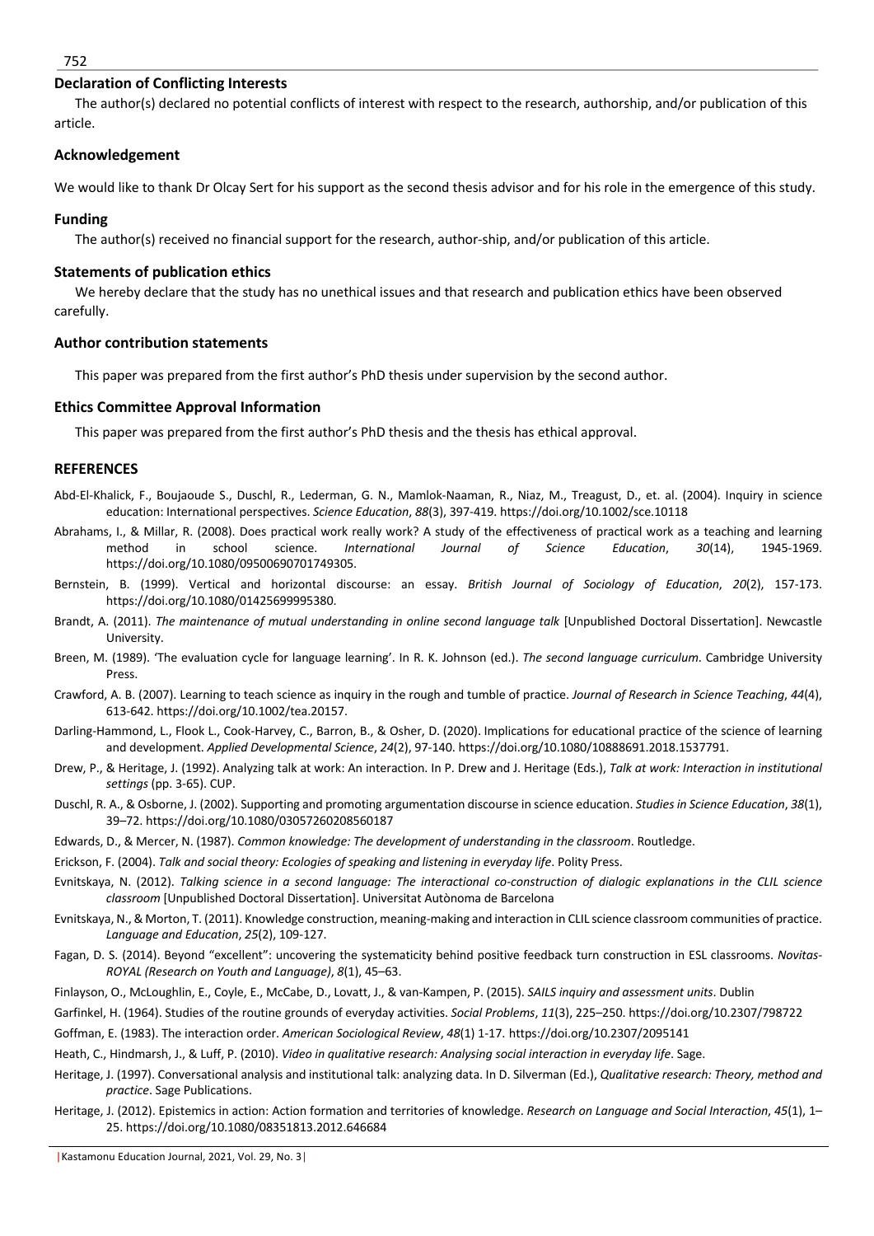#### 752

#### **Declaration of Conflicting Interests**

The author(s) declared no potential conflicts of interest with respect to the research, authorship, and/or publication of this article.

# **Acknowledgement**

We would like to thank Dr Olcay Sert for his support as the second thesis advisor and for his role in the emergence of this study.

## **Funding**

The author(s) received no financial support for the research, author-ship, and/or publication of this article.

## **Statements of publication ethics**

We hereby declare that the study has no unethical issues and that research and publication ethics have been observed carefully.

#### **Author contribution statements**

This paper was prepared from the first author's PhD thesis under supervision by the second author.

#### **Ethics Committee Approval Information**

This paper was prepared from the first author's PhD thesis and the thesis has ethical approval.

#### **REFERENCES**

- Abd-El-Khalick, F., Boujaoude S., Duschl, R., Lederman, G. N., Mamlok-Naaman, R., Niaz, M., Treagust, D., et. al. (2004). Inquiry in science education: International perspectives. *Science Education*, *88*(3), 397-419. https://doi.org/10.1002/sce.10118
- Abrahams, I., & Millar, R. (2008). Does practical work really work? A study of the effectiveness of practical work as a teaching and learning method in school science. *International Journal of Science Education*, *30*(14), 1945-1969. https://doi.org/10.1080/09500690701749305.
- Bernstein, B. (1999). Vertical and horizontal discourse: an essay. *British Journal of Sociology of Education*, *20*(2), 157-173. https://doi.org/10.1080/01425699995380.
- Brandt, A. (2011). *The maintenance of mutual understanding in online second language talk* [Unpublished Doctoral Dissertation]. Newcastle University.
- Breen, M. (1989). 'The evaluation cycle for language learning'. In R. K. Johnson (ed.). *The second language curriculum*. Cambridge University Press.
- Crawford, A. B. (2007). Learning to teach science as inquiry in the rough and tumble of practice. *Journal of Research in Science Teaching*, *44*(4), 613-642. https://doi.org/10.1002/tea.20157.
- Darling-Hammond, L., Flook L., Cook-Harvey, C., Barron, B., & Osher, D. (2020). Implications for educational practice of the science of learning and development. *Applied Developmental Science*, *24*(2), 97-140. https://doi.org/10.1080/10888691.2018.1537791.
- Drew, P., & Heritage, J. (1992). Analyzing talk at work: An interaction. In P. Drew and J. Heritage (Eds.), *Talk at work: Interaction in institutional settings* (pp. 3-65). CUP.
- Duschl, R. A., & Osborne, J. (2002). Supporting and promoting argumentation discourse in science education. *Studies in Science Education*, *38*(1), 39–72. https://doi.org/10.1080/03057260208560187
- Edwards, D., & Mercer, N. (1987). *Common knowledge: The development of understanding in the classroom*. Routledge.
- Erickson, F. (2004). *Talk and social theory: Ecologies of speaking and listening in everyday life*. Polity Press.
- Evnitskaya, N. (2012). *Talking science in a second language: The interactional co-construction of dialogic explanations in the CLIL science classroom* [Unpublished Doctoral Dissertation]. Universitat Autònoma de Barcelona
- Evnitskaya, N., & Morton, T. (2011). Knowledge construction, meaning-making and interaction in CLIL science classroom communities of practice. *Language and Education*, *25*(2), 109-127.
- Fagan, D. S. (2014). Beyond "excellent": uncovering the systematicity behind positive feedback turn construction in ESL classrooms. *Novitas-ROYAL (Research on Youth and Language)*, *8*(1), 45–63.
- Finlayson, O., McLoughlin, E., Coyle, E., McCabe, D., Lovatt, J., & van-Kampen, P. (2015). *SAILS inquiry and assessment units*. Dublin
- Garfinkel, H. (1964). Studies of the routine grounds of everyday activities. *Social Problems*, *11*(3), 225–250. https://doi.org/10.2307/798722
- Goffman, E. (1983). The interaction order. *American Sociological Review*, *48*(1) 1-17. https://doi.org/10.2307/2095141
- Heath, C., Hindmarsh, J., & Luff, P. (2010). *Video in qualitative research: Analysing social interaction in everyday life*. Sage.
- Heritage, J. (1997). Conversational analysis and institutional talk: analyzing data. In D. Silverman (Ed.), *Qualitative research: Theory, method and practice*. Sage Publications.
- Heritage, J. (2012). Epistemics in action: Action formation and territories of knowledge. *Research on Language and Social Interaction*, *45*(1), 1– 25. https://doi.org/10.1080/08351813.2012.646684

|Kastamonu Education Journal, 2021, Vol. 29, No. 3|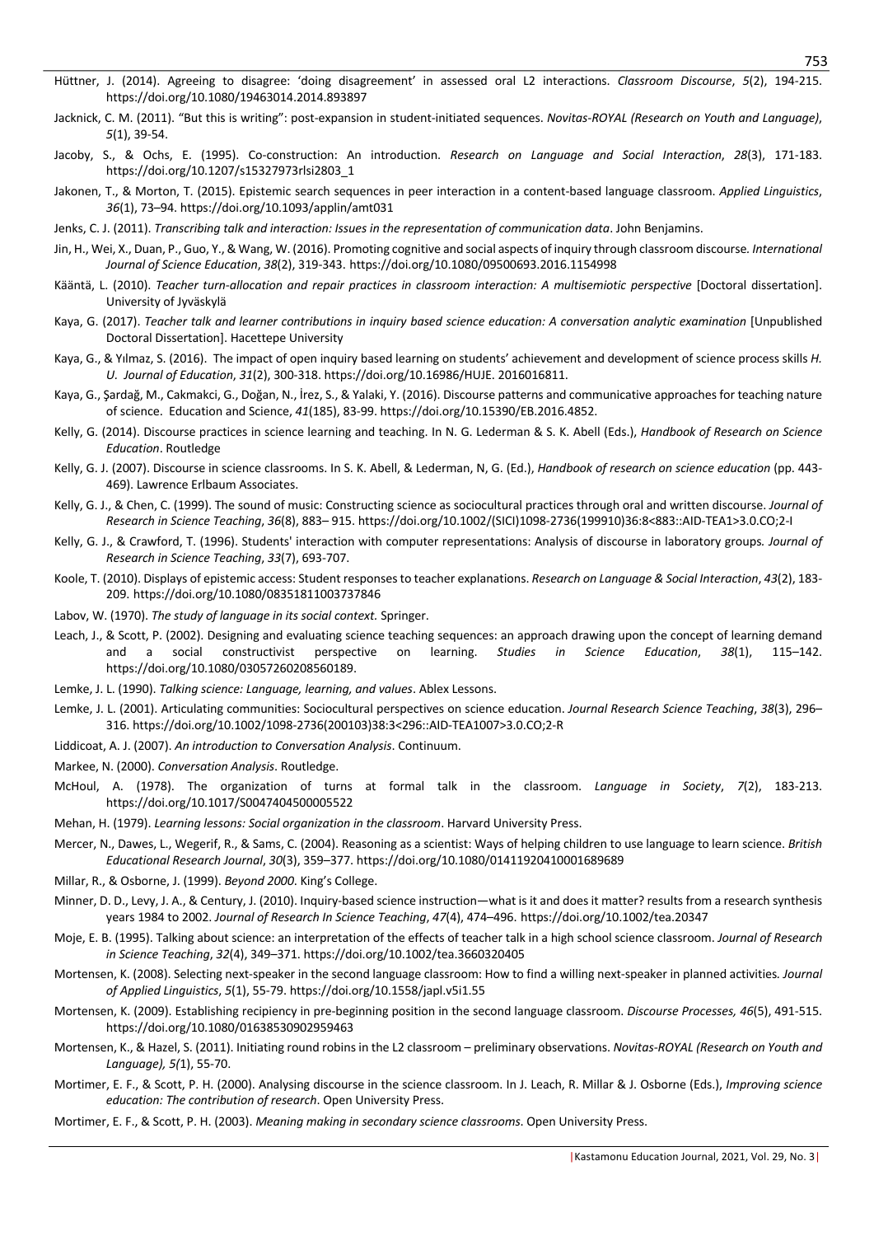- Hüttner, J. (2014). Agreeing to disagree: 'doing disagreement' in assessed oral L2 interactions. *Classroom Discourse*, *5*(2), 194-215. https://doi.org/10.1080/19463014.2014.893897
- Jacknick, C. M. (2011). "But this is writing": post-expansion in student-initiated sequences. *Novitas-ROYAL (Research on Youth and Language)*, *5*(1), 39-54.
- Jacoby, S., & Ochs, E. (1995). Co-construction: An introduction. *Research on Language and Social Interaction*, *28*(3), 171-183. https://doi.org/10.1207/s15327973rlsi2803\_1
- Jakonen, T., & Morton, T. (2015). Epistemic search sequences in peer interaction in a content-based language classroom. *Applied Linguistics*, *36*(1), 73–94. https://doi.org/10.1093/applin/amt031
- Jenks, C. J. (2011). *Transcribing talk and interaction: Issues in the representation of communication data*. John Benjamins.
- Jin, H., Wei, X., Duan, P., Guo, Y., & Wang, W. (2016). Promoting cognitive and social aspects of inquiry through classroom discourse*. International Journal of Science Education*, *38*(2), 319-343. https://doi.org/10.1080/09500693.2016.1154998
- Kääntä, L. (2010). *Teacher turn-allocation and repair practices in classroom interaction: A multisemiotic perspective* [Doctoral dissertation]. University of Jyväskylä
- Kaya, G. (2017). *Teacher talk and learner contributions in inquiry based science education: A conversation analytic examination* [Unpublished Doctoral Dissertation]. Hacettepe University
- Kaya, G., & Yılmaz, S. (2016). The impact of open inquiry based learning on students' achievement and development of science process skills *H. U. Journal of Education*, *31*(2), 300-318. https://doi.org/10.16986/HUJE. 2016016811.
- Kaya, G., Şardağ, M., Cakmakci, G., Doğan, N., İrez, S., & Yalaki, Y. (2016). Discourse patterns and communicative approachesfor teaching nature of science. Education and Science, *41*(185), 83-99. https://doi.org/10.15390/EB.2016.4852.
- Kelly, G. (2014). Discourse practices in science learning and teaching. In N. G. Lederman & S. K. Abell (Eds.), *Handbook of Research on Science Education*. Routledge
- Kelly, G. J. (2007). Discourse in science classrooms. In S. K. Abell, & Lederman, N, G. (Ed.), *Handbook of research on science education* (pp. 443- 469). Lawrence Erlbaum Associates.
- Kelly, G. J., & Chen, C. (1999). The sound of music: Constructing science as sociocultural practices through oral and written discourse. *Journal of Research in Science Teaching*, *36*(8), 883– 915. https://doi.org/10.1002/(SICI)1098-2736(199910)36:8<883::AID-TEA1>3.0.CO;2-I
- Kelly, G. J., & Crawford, T. (1996). Students' interaction with computer representations: Analysis of discourse in laboratory groups*. Journal of Research in Science Teaching*, *33*(7), 693-707.
- Koole, T. (2010). Displays of epistemic access: Student responses to teacher explanations. *Research on Language & Social Interaction*, *43*(2), 183- 209. https://doi.org/10.1080/08351811003737846
- Labov, W. (1970). *The study of language in its social context.* Springer.
- Leach, J., & Scott, P. (2002). Designing and evaluating science teaching sequences: an approach drawing upon the concept of learning demand and a social constructivist perspective on learning. *Studies in Science Education*, *38*(1), 115–142. https://doi.org/10.1080/03057260208560189.
- Lemke, J. L. (1990). *Talking science: Language, learning, and values*. Ablex Lessons.
- Lemke, J. L. (2001). Articulating communities: Sociocultural perspectives on science education. *Journal Research Science Teaching*, *38*(3), 296– 316. https://doi.org/10.1002/1098-2736(200103)38:3<296::AID-TEA1007>3.0.CO;2-R
- Liddicoat, A. J. (2007). *An introduction to Conversation Analysis*. Continuum.
- Markee, N. (2000). *Conversation Analysis*. Routledge.
- McHoul, A. (1978). The organization of turns at formal talk in the classroom. *Language in Society*, *7*(2), 183-213. https://doi.org/10.1017/S0047404500005522
- Mehan, H. (1979). *Learning lessons: Social organization in the classroom*. Harvard University Press.
- Mercer, N., Dawes, L., Wegerif, R., & Sams, C. (2004). Reasoning as a scientist: Ways of helping children to use language to learn science. *British Educational Research Journal*, *30*(3), 359–377. https://doi.org/10.1080/01411920410001689689
- Millar, R., & Osborne, J. (1999). *Beyond 2000*. King's College.
- Minner, D. D., Levy, J. A., & Century, J. (2010). Inquiry-based science instruction—what is it and does it matter? results from a research synthesis years 1984 to 2002. *Journal of Research In Science Teaching*, *47*(4), 474–496. https://doi.org/10.1002/tea.20347
- Moje, E. B. (1995). Talking about science: an interpretation of the effects of teacher talk in a high school science classroom. *Journal of Research in Science Teaching*, *32*(4), 349–371. https://doi.org/10.1002/tea.3660320405
- Mortensen, K. (2008). Selecting next-speaker in the second language classroom: How to find a willing next-speaker in planned activities*. Journal of Applied Linguistics*, *5*(1), 55-79. https://doi.org/10.1558/japl.v5i1.55
- Mortensen, K. (2009). Establishing recipiency in pre-beginning position in the second language classroom. *Discourse Processes, 46*(5), 491-515. https://doi.org/10.1080/01638530902959463
- Mortensen, K., & Hazel, S. (2011). Initiating round robins in the L2 classroom preliminary observations. *Novitas-ROYAL (Research on Youth and Language), 5(*1), 55-70.
- Mortimer, E. F., & Scott, P. H. (2000). Analysing discourse in the science classroom. In J. Leach, R. Millar & J. Osborne (Eds.), *Improving science education: The contribution of research*. Open University Press.
- Mortimer, E. F., & Scott, P. H. (2003). *Meaning making in secondary science classrooms*. Open University Press.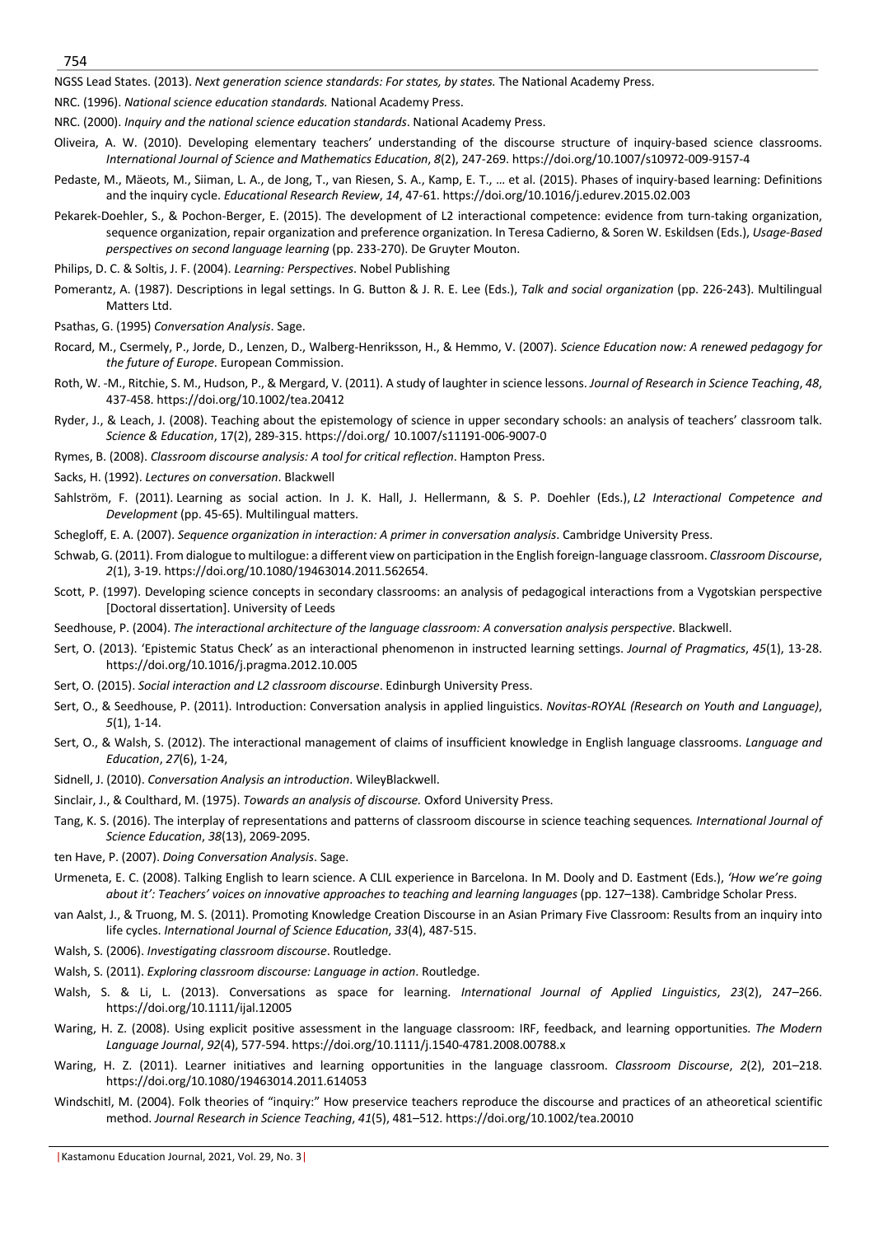NGSS Lead States. (2013). *Next generation science standards: For states, by states.* The National Academy Press.

NRC. (1996). *National science education standards.* National Academy Press.

NRC. (2000). *Inquiry and the national science education standards*. National Academy Press.

- Oliveira, A. W. (2010). Developing elementary teachers' understanding of the discourse structure of inquiry-based science classrooms. *International Journal of Science and Mathematics Education*, *8*(2), 247-269. https://doi.org/10.1007/s10972-009-9157-4
- Pedaste, M., Mäeots, M., Siiman, L. A., de Jong, T., van Riesen, S. A., Kamp, E. T., … et al. (2015). Phases of inquiry-based learning: Definitions and the inquiry cycle. *Educational Research Review*, *14*, 47-61. https://doi.org/10.1016/j.edurev.2015.02.003
- Pekarek-Doehler, S., & Pochon-Berger, E. (2015). The development of L2 interactional competence: evidence from turn-taking organization, sequence organization, repair organization and preference organization. In Teresa Cadierno, & Soren W. Eskildsen (Eds.), *Usage-Based perspectives on second language learning* (pp. 233-270). De Gruyter Mouton.
- Philips, D. C. & Soltis, J. F. (2004). *Learning: Perspectives*. Nobel Publishing
- Pomerantz, A. (1987). Descriptions in legal settings. In G. Button & J. R. E. Lee (Eds.), *Talk and social organization* (pp. 226-243). Multilingual Matters Ltd.
- Psathas, G. (1995) *Conversation Analysis*. Sage.
- Rocard, M., Csermely, P., Jorde, D., Lenzen, D., Walberg-Henriksson, H., & Hemmo, V. (2007). *Science Education now: A renewed pedagogy for the future of Europe*. European Commission.
- Roth, W. -M., Ritchie, S. M., Hudson, P., & Mergard, V. (2011). A study of laughter in science lessons. *Journal of Research in Science Teaching*, *48*, 437-458. https://doi.org/10.1002/tea.20412
- Ryder, J., & Leach, J. (2008). Teaching about the epistemology of science in upper secondary schools: an analysis of teachers' classroom talk. *Science & Education*, 17(2), 289-315. https://doi.org/ 10.1007/s11191-006-9007-0
- Rymes, B. (2008). *Classroom discourse analysis: A tool for critical reflection*. Hampton Press.
- Sacks, H. (1992). *Lectures on conversation*. Blackwell
- Sahlström, F. (2011). Learning as social action. In J. K. Hall, J. Hellermann, & S. P. Doehler (Eds.), *L2 Interactional Competence and Development* (pp. 45-65). Multilingual matters.
- Schegloff, E. A. (2007). *Sequence organization in interaction: A primer in conversation analysis*. Cambridge University Press.
- Schwab, G. (2011). From dialogue to multilogue: a different view on participation in the English foreign-language classroom. *Classroom Discourse*, *2*(1), 3-19. https://doi.org/10.1080/19463014.2011.562654.
- Scott, P. (1997). Developing science concepts in secondary classrooms: an analysis of pedagogical interactions from a Vygotskian perspective [Doctoral dissertation]. University of Leeds
- Seedhouse, P. (2004). *The interactional architecture of the language classroom: A conversation analysis perspective*. Blackwell.
- Sert, O. (2013). 'Epistemic Status Check' as an interactional phenomenon in instructed learning settings. *Journal of Pragmatics*, *45*(1), 13-28. https://doi.org/10.1016/j.pragma.2012.10.005
- Sert, O. (2015). *Social interaction and L2 classroom discourse*. Edinburgh University Press.
- Sert, O., & Seedhouse, P. (2011). Introduction: Conversation analysis in applied linguistics. *Novitas-ROYAL (Research on Youth and Language)*, *5*(1), 1-14.
- Sert, O., & Walsh, S. (2012). The interactional management of claims of insufficient knowledge in English language classrooms. *Language and Education*, *27*(6), 1-24,
- Sidnell, J. (2010). *Conversation Analysis an introduction*. WileyBlackwell.
- Sinclair, J., & Coulthard, M. (1975). *Towards an analysis of discourse.* Oxford University Press.
- Tang, K. S. (2016). The interplay of representations and patterns of classroom discourse in science teaching sequences*. International Journal of Science Education*, *38*(13), 2069-2095.
- ten Have, P. (2007). *Doing Conversation Analysis*. Sage.
- Urmeneta, E. C. (2008). Talking English to learn science. A CLIL experience in Barcelona. In M. Dooly and D. Eastment (Eds.), *'How we're going about it': Teachers' voices on innovative approaches to teaching and learning languages* (pp. 127–138). Cambridge Scholar Press.
- van Aalst, J., & Truong, M. S. (2011). Promoting Knowledge Creation Discourse in an Asian Primary Five Classroom: Results from an inquiry into life cycles. *International Journal of Science Education*, *33*(4), 487-515.
- Walsh, S. (2006). *Investigating classroom discourse*. Routledge.
- Walsh, S. (2011). *Exploring classroom discourse: Language in action*. Routledge.
- Walsh, S. & Li, L. (2013). Conversations as space for learning. *International Journal of Applied Linguistics*, *23*(2), 247–266. https://doi.org/10.1111/ijal.12005
- Waring, H. Z. (2008). Using explicit positive assessment in the language classroom: IRF, feedback, and learning opportunities. *The Modern Language Journal*, *92*(4), 577-594. https://doi.org/10.1111/j.1540-4781.2008.00788.x
- Waring, H. Z. (2011). Learner initiatives and learning opportunities in the language classroom. *Classroom Discourse*, *2*(2), 201–218. https://doi.org/10.1080/19463014.2011.614053
- Windschitl, M. (2004). Folk theories of "inquiry:" How preservice teachers reproduce the discourse and practices of an atheoretical scientific method. *Journal Research in Science Teaching*, *41*(5), 481–512. https://doi.org/10.1002/tea.20010